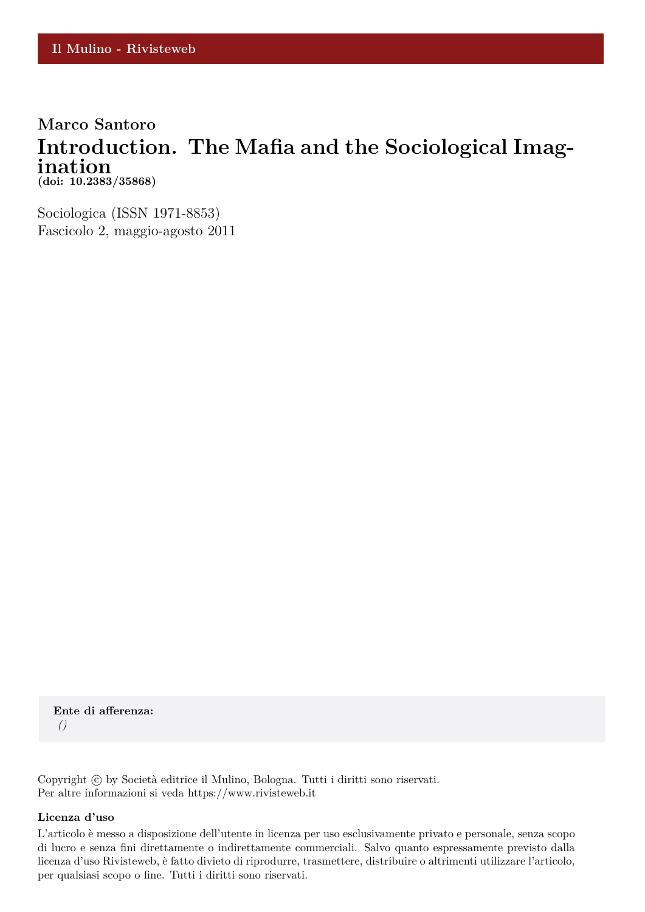### **Marco Santoro Introduction. The Mafia and the Sociological Imagination (doi: 10.2383/35868)**

Sociologica (ISSN 1971-8853) Fascicolo 2, maggio-agosto 2011

**Ente di afferenza:** *()*

Copyright © by Società editrice il Mulino, Bologna. Tutti i diritti sono riservati. Per altre informazioni si veda https://www.rivisteweb.it

#### **Licenza d'uso**

L'articolo è messo a disposizione dell'utente in licenza per uso esclusivamente privato e personale, senza scopo di lucro e senza fini direttamente o indirettamente commerciali. Salvo quanto espressamente previsto dalla licenza d'uso Rivisteweb, è fatto divieto di riprodurre, trasmettere, distribuire o altrimenti utilizzare l'articolo, per qualsiasi scopo o fine. Tutti i diritti sono riservati.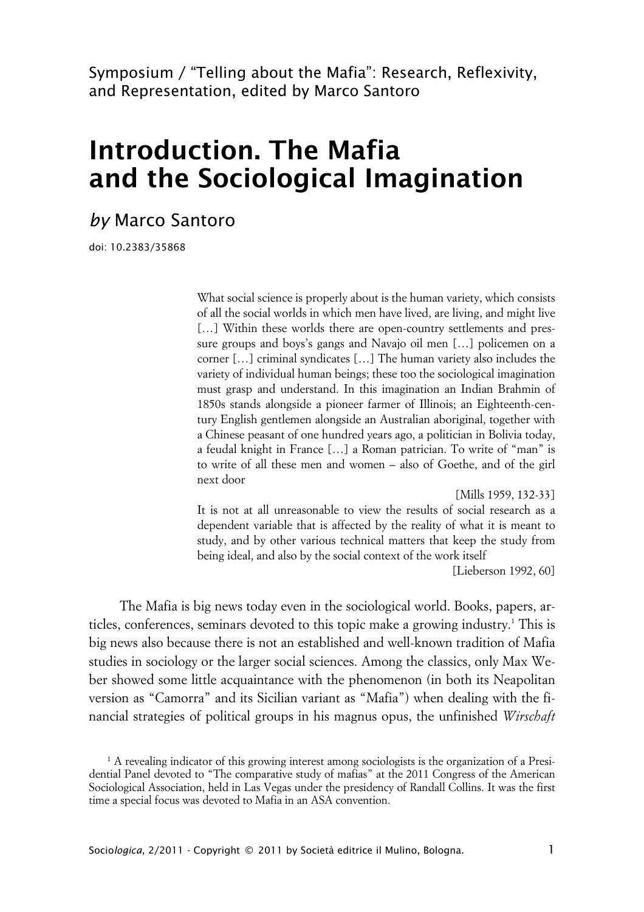Symposium / "Telling about the Mafia": Research, Reflexivity, and Representation, edited by Marco Santoro

# **Introduction. The Mafia and the Sociological Imagination**

## *by* Marco Santoro

doi: 10.2383/35868

What social science is properly about is the human variety, which consists of all the social worlds in which men have lived, are living, and might live [...] Within these worlds there are open-country settlements and pressure groups and boys's gangs and Navajo oil men […] policemen on a corner […] criminal syndicates […] The human variety also includes the variety of individual human beings; these too the sociological imagination must grasp and understand. In this imagination an Indian Brahmin of 1850s stands alongside a pioneer farmer of Illinois; an Eighteenth-century English gentlemen alongside an Australian aboriginal, together with a Chinese peasant of one hundred years ago, a politician in Bolivia today, a feudal knight in France […] a Roman patrician. To write of "man" is to write of all these men and women – also of Goethe, and of the girl next door

[Mills 1959, 132-33]

It is not at all unreasonable to view the results of social research as a dependent variable that is affected by the reality of what it is meant to study, and by other various technical matters that keep the study from being ideal, and also by the social context of the work itself

[Lieberson 1992, 60]

The Mafia is big news today even in the sociological world. Books, papers, articles, conferences, seminars devoted to this topic make a growing industry.<sup>1</sup> This is big news also because there is not an established and well-known tradition of Mafia studies in sociology or the larger social sciences. Among the classics, only Max Weber showed some little acquaintance with the phenomenon (in both its Neapolitan version as "Camorra" and its Sicilian variant as "Mafia") when dealing with the financial strategies of political groups in his magnus opus, the unfinished *Wirschaft*

<sup>1</sup> A revealing indicator of this growing interest among sociologists is the organization of a Presidential Panel devoted to "The comparative study of mafias" at the 2011 Congress of the American Sociological Association, held in Las Vegas under the presidency of Randall Collins. It was the first time a special focus was devoted to Mafia in an ASA convention.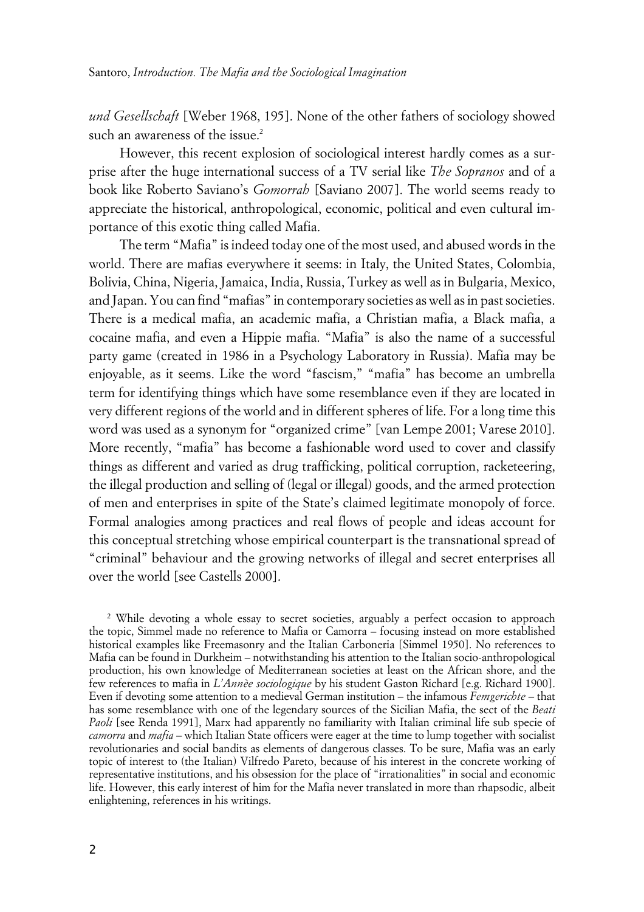*und Gesellschaft* [Weber 1968, 195]. None of the other fathers of sociology showed such an awareness of the issue.<sup>2</sup>

However, this recent explosion of sociological interest hardly comes as a surprise after the huge international success of a TV serial like *The Sopranos* and of a book like Roberto Saviano's *Gomorrah* [Saviano 2007]. The world seems ready to appreciate the historical, anthropological, economic, political and even cultural importance of this exotic thing called Mafia.

The term "Mafia" is indeed today one of the most used, and abused words in the world. There are mafias everywhere it seems: in Italy, the United States, Colombia, Bolivia, China, Nigeria, Jamaica, India, Russia, Turkey as well as in Bulgaria, Mexico, and Japan. You can find "mafias" in contemporary societies as well as in past societies. There is a medical mafia, an academic mafia, a Christian mafia, a Black mafia, a cocaine mafia, and even a Hippie mafia. "Mafia" is also the name of a successful party game (created in 1986 in a Psychology Laboratory in Russia). Mafia may be enjoyable, as it seems. Like the word "fascism," "mafia" has become an umbrella term for identifying things which have some resemblance even if they are located in very different regions of the world and in different spheres of life. For a long time this word was used as a synonym for "organized crime" [van Lempe 2001; Varese 2010]. More recently, "mafia" has become a fashionable word used to cover and classify things as different and varied as drug trafficking, political corruption, racketeering, the illegal production and selling of (legal or illegal) goods, and the armed protection of men and enterprises in spite of the State's claimed legitimate monopoly of force. Formal analogies among practices and real flows of people and ideas account for this conceptual stretching whose empirical counterpart is the transnational spread of "criminal" behaviour and the growing networks of illegal and secret enterprises all over the world [see Castells 2000].

<sup>2</sup> While devoting a whole essay to secret societies, arguably a perfect occasion to approach the topic, Simmel made no reference to Mafia or Camorra – focusing instead on more established historical examples like Freemasonry and the Italian Carboneria [Simmel 1950]. No references to Mafia can be found in Durkheim – notwithstanding his attention to the Italian socio-anthropological production, his own knowledge of Mediterranean societies at least on the African shore, and the few references to mafia in *L'Annèe sociologique* by his student Gaston Richard [e.g. Richard 1900]. Even if devoting some attention to a medieval German institution – the infamous *Femgerichte* – that has some resemblance with one of the legendary sources of the Sicilian Mafia, the sect of the *Beati Paoli* [see Renda 1991], Marx had apparently no familiarity with Italian criminal life sub specie of *camorra* and *mafia* – which Italian State officers were eager at the time to lump together with socialist revolutionaries and social bandits as elements of dangerous classes. To be sure, Mafia was an early topic of interest to (the Italian) Vilfredo Pareto, because of his interest in the concrete working of representative institutions, and his obsession for the place of "irrationalities" in social and economic life. However, this early interest of him for the Mafia never translated in more than rhapsodic, albeit enlightening, references in his writings.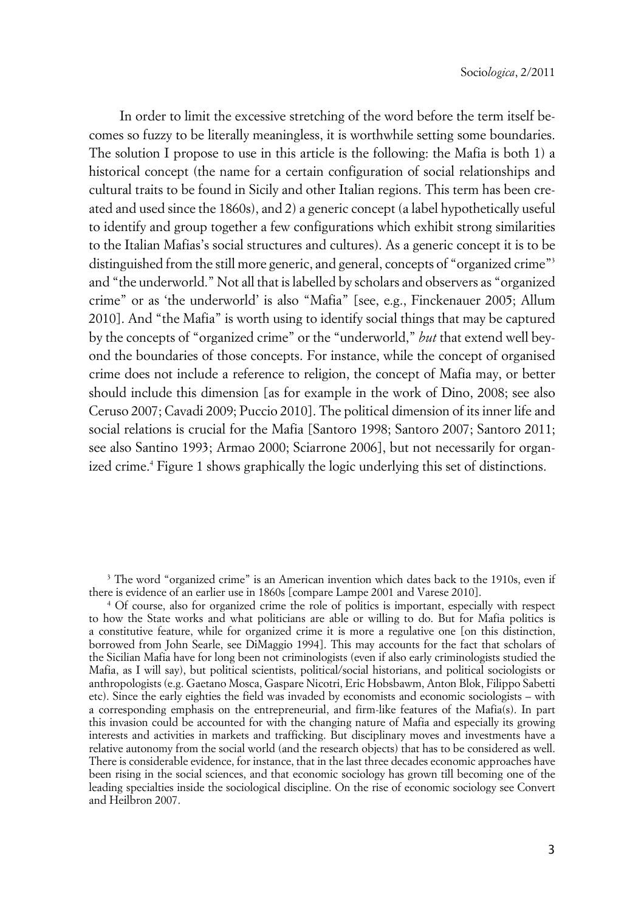In order to limit the excessive stretching of the word before the term itself becomes so fuzzy to be literally meaningless, it is worthwhile setting some boundaries. The solution I propose to use in this article is the following: the Mafia is both 1) a historical concept (the name for a certain configuration of social relationships and cultural traits to be found in Sicily and other Italian regions. This term has been created and used since the 1860s), and 2) a generic concept (a label hypothetically useful to identify and group together a few configurations which exhibit strong similarities to the Italian Mafias's social structures and cultures). As a generic concept it is to be distinguished from the still more generic, and general, concepts of "organized crime"<sup>3</sup> and "the underworld." Not all that is labelled by scholars and observers as "organized crime" or as 'the underworld' is also "Mafia" [see, e.g., Finckenauer 2005; Allum 2010]. And "the Mafia" is worth using to identify social things that may be captured by the concepts of "organized crime" or the "underworld," *but* that extend well beyond the boundaries of those concepts. For instance, while the concept of organised crime does not include a reference to religion, the concept of Mafia may, or better should include this dimension [as for example in the work of Dino, 2008; see also Ceruso 2007; Cavadi 2009; Puccio 2010]. The political dimension of its inner life and social relations is crucial for the Mafia [Santoro 1998; Santoro 2007; Santoro 2011; see also Santino 1993; Armao 2000; Sciarrone 2006], but not necessarily for organized crime.<sup>4</sup> Figure 1 shows graphically the logic underlying this set of distinctions.

<sup>3</sup> The word "organized crime" is an American invention which dates back to the 1910s, even if there is evidence of an earlier use in 1860s [compare Lampe 2001 and Varese 2010].

4 Of course, also for organized crime the role of politics is important, especially with respect to how the State works and what politicians are able or willing to do. But for Mafia politics is a constitutive feature, while for organized crime it is more a regulative one [on this distinction, borrowed from John Searle, see DiMaggio 1994]. This may accounts for the fact that scholars of the Sicilian Mafia have for long been not criminologists (even if also early criminologists studied the Mafia, as I will say), but political scientists, political/social historians, and political sociologists or anthropologists (e.g. Gaetano Mosca, Gaspare Nicotri, Eric Hobsbawm, Anton Blok, Filippo Sabetti etc). Since the early eighties the field was invaded by economists and economic sociologists – with a corresponding emphasis on the entrepreneurial, and firm-like features of the Mafia(s). In part this invasion could be accounted for with the changing nature of Mafia and especially its growing interests and activities in markets and trafficking. But disciplinary moves and investments have a relative autonomy from the social world (and the research objects) that has to be considered as well. There is considerable evidence, for instance, that in the last three decades economic approaches have been rising in the social sciences, and that economic sociology has grown till becoming one of the leading specialties inside the sociological discipline. On the rise of economic sociology see Convert and Heilbron 2007.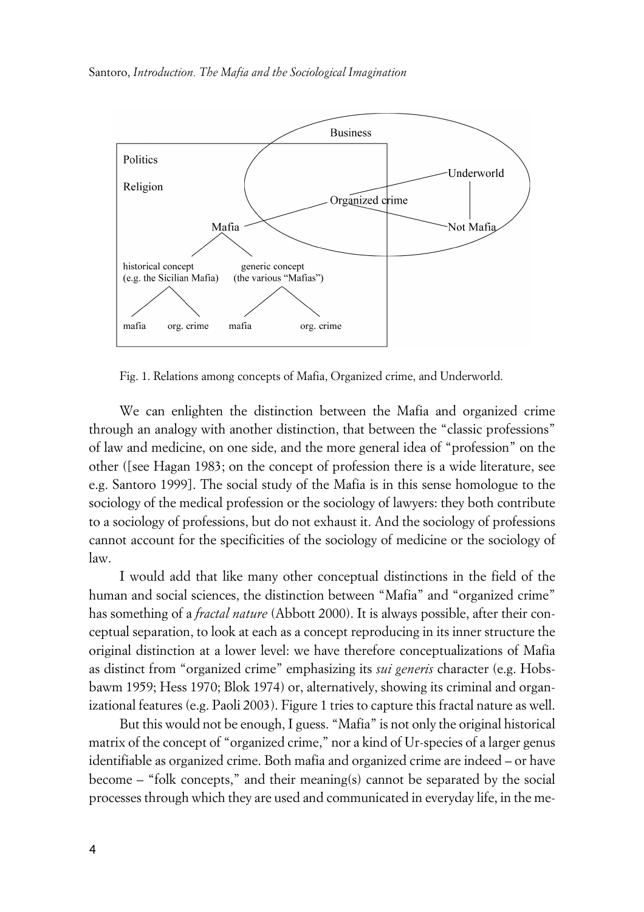

Fig. 1. Relations among concepts of Mafia, Organized crime, and Underworld.

We can enlighten the distinction between the Mafia and organized crime through an analogy with another distinction, that between the "classic professions" of law and medicine, on one side, and the more general idea of "profession" on the other ([see Hagan 1983; on the concept of profession there is a wide literature, see e.g. Santoro 1999]. The social study of the Mafia is in this sense homologue to the sociology of the medical profession or the sociology of lawyers: they both contribute to a sociology of professions, but do not exhaust it. And the sociology of professions cannot account for the specificities of the sociology of medicine or the sociology of law.

I would add that like many other conceptual distinctions in the field of the human and social sciences, the distinction between "Mafia" and "organized crime" has something of a *fractal nature* (Abbott 2000). It is always possible, after their conceptual separation, to look at each as a concept reproducing in its inner structure the original distinction at a lower level: we have therefore conceptualizations of Mafia as distinct from "organized crime" emphasizing its *sui generis* character (e.g. Hobsbawm 1959; Hess 1970; Blok 1974) or, alternatively, showing its criminal and organizational features (e.g. Paoli 2003). Figure 1 tries to capture this fractal nature as well.

But this would not be enough, I guess. "Mafia" is not only the original historical matrix of the concept of "organized crime," nor a kind of Ur-species of a larger genus identifiable as organized crime. Both mafia and organized crime are indeed – or have become – "folk concepts," and their meaning(s) cannot be separated by the social processes through which they are used and communicated in everyday life, in the me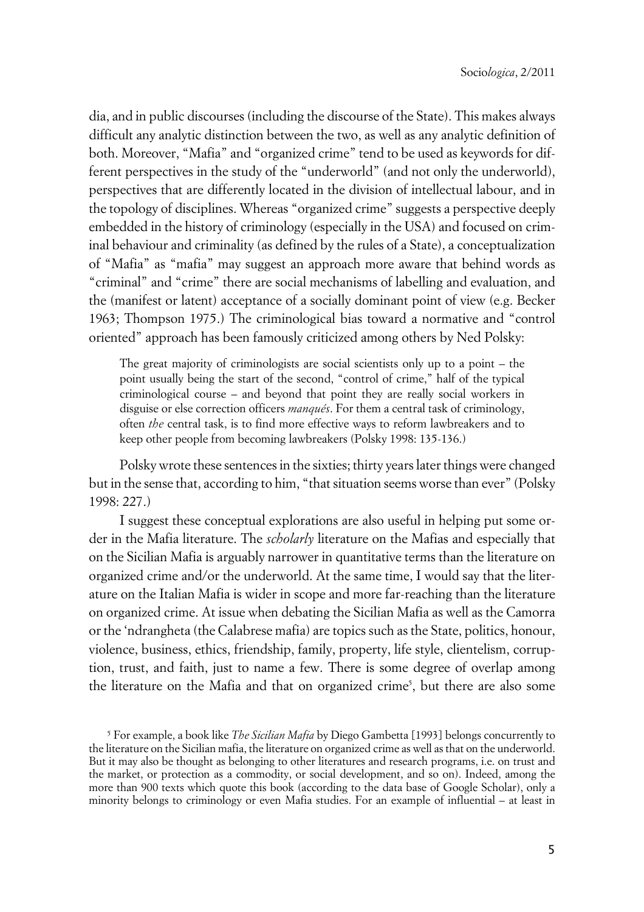dia, and in public discourses (including the discourse of the State). This makes always difficult any analytic distinction between the two, as well as any analytic definition of both. Moreover, "Mafia" and "organized crime" tend to be used as keywords for different perspectives in the study of the "underworld" (and not only the underworld), perspectives that are differently located in the division of intellectual labour, and in the topology of disciplines. Whereas "organized crime" suggests a perspective deeply embedded in the history of criminology (especially in the USA) and focused on criminal behaviour and criminality (as defined by the rules of a State), a conceptualization of "Mafia" as "mafia" may suggest an approach more aware that behind words as "criminal" and "crime" there are social mechanisms of labelling and evaluation, and the (manifest or latent) acceptance of a socially dominant point of view (e.g. Becker 1963; Thompson 1975.) The criminological bias toward a normative and "control oriented" approach has been famously criticized among others by Ned Polsky:

The great majority of criminologists are social scientists only up to a point – the point usually being the start of the second, "control of crime," half of the typical criminological course – and beyond that point they are really social workers in disguise or else correction officers *manqués*. For them a central task of criminology, often *the* central task, is to find more effective ways to reform lawbreakers and to keep other people from becoming lawbreakers (Polsky 1998: 135-136.)

Polsky wrote these sentences in the sixties; thirty years later things were changed but in the sense that, according to him, "that situation seems worse than ever" (Polsky 1998: 227.)

I suggest these conceptual explorations are also useful in helping put some order in the Mafia literature. The *scholarly* literature on the Mafias and especially that on the Sicilian Mafia is arguably narrower in quantitative terms than the literature on organized crime and/or the underworld. At the same time, I would say that the literature on the Italian Mafia is wider in scope and more far-reaching than the literature on organized crime. At issue when debating the Sicilian Mafia as well as the Camorra or the 'ndrangheta (the Calabrese mafia) are topics such as the State, politics, honour, violence, business, ethics, friendship, family, property, life style, clientelism, corruption, trust, and faith, just to name a few. There is some degree of overlap among the literature on the Mafia and that on organized crime<sup>5</sup>, but there are also some

<sup>5</sup> For example, a book like *The Sicilian Mafia* by Diego Gambetta [1993] belongs concurrently to the literature on the Sicilian mafia, the literature on organized crime as well as that on the underworld. But it may also be thought as belonging to other literatures and research programs, i.e. on trust and the market, or protection as a commodity, or social development, and so on). Indeed, among the more than 900 texts which quote this book (according to the data base of Google Scholar), only a minority belongs to criminology or even Mafia studies. For an example of influential – at least in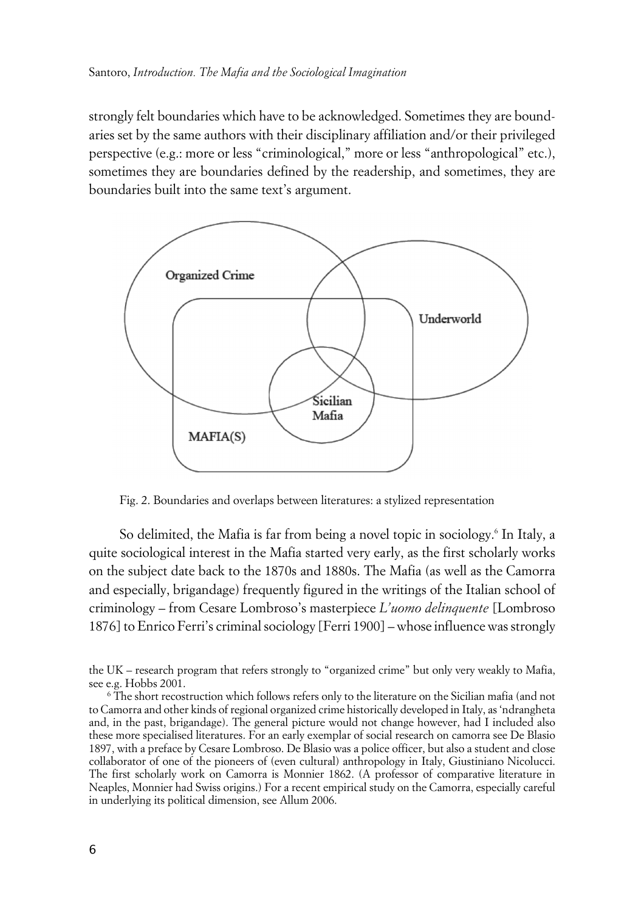strongly felt boundaries which have to be acknowledged. Sometimes they are boundaries set by the same authors with their disciplinary affiliation and/or their privileged perspective (e.g.: more or less "criminological," more or less "anthropological" etc.), sometimes they are boundaries defined by the readership, and sometimes, they are boundaries built into the same text's argument.



Fig. 2. Boundaries and overlaps between literatures: a stylized representation

So delimited, the Mafia is far from being a novel topic in sociology.<sup>6</sup> In Italy, a quite sociological interest in the Mafia started very early, as the first scholarly works on the subject date back to the 1870s and 1880s. The Mafia (as well as the Camorra and especially, brigandage) frequently figured in the writings of the Italian school of criminology – from Cesare Lombroso's masterpiece *L'uomo delinquente* [Lombroso 1876] to Enrico Ferri's criminal sociology [Ferri 1900] – whose influence was strongly

the UK – research program that refers strongly to "organized crime" but only very weakly to Mafia, see e.g. Hobbs 2001.

<sup>6</sup> The short recostruction which follows refers only to the literature on the Sicilian mafia (and not to Camorra and other kinds of regional organized crime historically developed in Italy, as 'ndrangheta and, in the past, brigandage). The general picture would not change however, had I included also these more specialised literatures. For an early exemplar of social research on camorra see De Blasio 1897, with a preface by Cesare Lombroso. De Blasio was a police officer, but also a student and close collaborator of one of the pioneers of (even cultural) anthropology in Italy, Giustiniano Nicolucci. The first scholarly work on Camorra is Monnier 1862. (A professor of comparative literature in Neaples, Monnier had Swiss origins.) For a recent empirical study on the Camorra, especially careful in underlying its political dimension, see Allum 2006.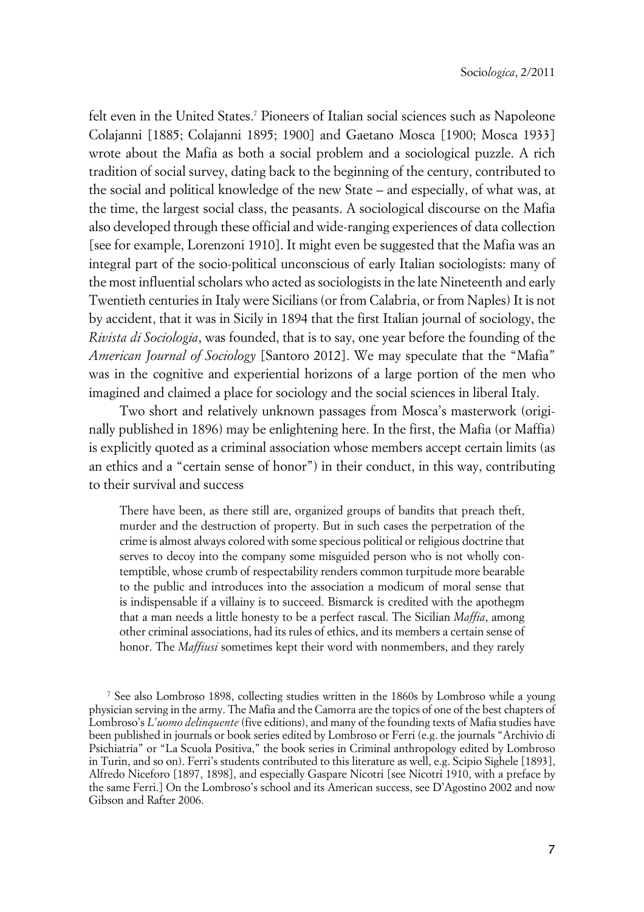felt even in the United States.<sup>7</sup> Pioneers of Italian social sciences such as Napoleone Colajanni [1885; Colajanni 1895; 1900] and Gaetano Mosca [1900; Mosca 1933] wrote about the Mafia as both a social problem and a sociological puzzle. A rich tradition of social survey, dating back to the beginning of the century, contributed to the social and political knowledge of the new State – and especially, of what was, at the time, the largest social class, the peasants. A sociological discourse on the Mafia also developed through these official and wide-ranging experiences of data collection [see for example, Lorenzoni 1910]. It might even be suggested that the Mafia was an integral part of the socio-political unconscious of early Italian sociologists: many of the most influential scholars who acted as sociologists in the late Nineteenth and early Twentieth centuries in Italy were Sicilians (or from Calabria, or from Naples) It is not by accident, that it was in Sicily in 1894 that the first Italian journal of sociology, the *Rivista di Sociologia*, was founded, that is to say, one year before the founding of the *American Journal of Sociology* [Santoro 2012]. We may speculate that the "Mafia" was in the cognitive and experiential horizons of a large portion of the men who imagined and claimed a place for sociology and the social sciences in liberal Italy.

Two short and relatively unknown passages from Mosca's masterwork (originally published in 1896) may be enlightening here. In the first, the Mafia (or Maffia) is explicitly quoted as a criminal association whose members accept certain limits (as an ethics and a "certain sense of honor") in their conduct, in this way, contributing to their survival and success

There have been, as there still are, organized groups of bandits that preach theft, murder and the destruction of property. But in such cases the perpetration of the crime is almost always colored with some specious political or religious doctrine that serves to decoy into the company some misguided person who is not wholly contemptible, whose crumb of respectability renders common turpitude more bearable to the public and introduces into the association a modicum of moral sense that is indispensable if a villainy is to succeed. Bismarck is credited with the apothegm that a man needs a little honesty to be a perfect rascal. The Sicilian *Maffia*, among other criminal associations, had its rules of ethics, and its members a certain sense of honor. The *Maffiusi* sometimes kept their word with nonmembers, and they rarely

7 See also Lombroso 1898, collecting studies written in the 1860s by Lombroso while a young physician serving in the army. The Mafia and the Camorra are the topics of one of the best chapters of Lombroso's *L'uomo delinquente* (five editions), and many of the founding texts of Mafia studies have been published in journals or book series edited by Lombroso or Ferri (e.g. the journals "Archivio di Psichiatria" or "La Scuola Positiva," the book series in Criminal anthropology edited by Lombroso in Turin, and so on). Ferri's students contributed to this literature as well, e.g. Scipio Sighele [1893], Alfredo Niceforo [1897, 1898], and especially Gaspare Nicotri [see Nicotri 1910, with a preface by the same Ferri.] On the Lombroso's school and its American success, see D'Agostino 2002 and now Gibson and Rafter 2006.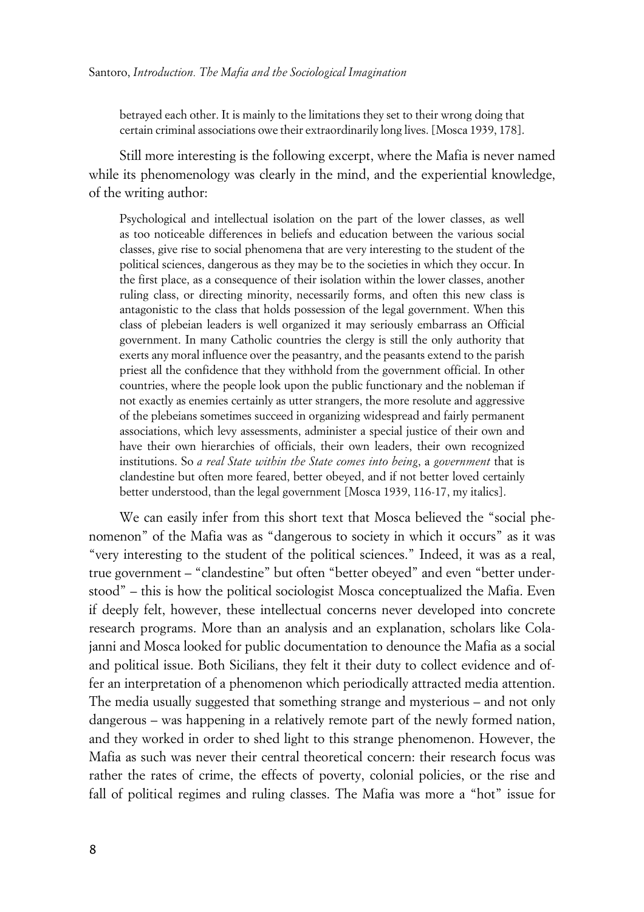betrayed each other. It is mainly to the limitations they set to their wrong doing that certain criminal associations owe their extraordinarily long lives. [Mosca 1939, 178].

Still more interesting is the following excerpt, where the Mafia is never named while its phenomenology was clearly in the mind, and the experiential knowledge, of the writing author:

Psychological and intellectual isolation on the part of the lower classes, as well as too noticeable differences in beliefs and education between the various social classes, give rise to social phenomena that are very interesting to the student of the political sciences, dangerous as they may be to the societies in which they occur. In the first place, as a consequence of their isolation within the lower classes, another ruling class, or directing minority, necessarily forms, and often this new class is antagonistic to the class that holds possession of the legal government. When this class of plebeian leaders is well organized it may seriously embarrass an Official government. In many Catholic countries the clergy is still the only authority that exerts any moral influence over the peasantry, and the peasants extend to the parish priest all the confidence that they withhold from the government official. In other countries, where the people look upon the public functionary and the nobleman if not exactly as enemies certainly as utter strangers, the more resolute and aggressive of the plebeians sometimes succeed in organizing widespread and fairly permanent associations, which levy assessments, administer a special justice of their own and have their own hierarchies of officials, their own leaders, their own recognized institutions. So *a real State within the State comes into being*, a *government* that is clandestine but often more feared, better obeyed, and if not better loved certainly better understood, than the legal government [Mosca 1939, 116-17, my italics].

We can easily infer from this short text that Mosca believed the "social phenomenon" of the Mafia was as "dangerous to society in which it occurs" as it was "very interesting to the student of the political sciences." Indeed, it was as a real, true government – "clandestine" but often "better obeyed" and even "better understood" – this is how the political sociologist Mosca conceptualized the Mafia. Even if deeply felt, however, these intellectual concerns never developed into concrete research programs. More than an analysis and an explanation, scholars like Colajanni and Mosca looked for public documentation to denounce the Mafia as a social and political issue. Both Sicilians, they felt it their duty to collect evidence and offer an interpretation of a phenomenon which periodically attracted media attention. The media usually suggested that something strange and mysterious – and not only dangerous – was happening in a relatively remote part of the newly formed nation, and they worked in order to shed light to this strange phenomenon. However, the Mafia as such was never their central theoretical concern: their research focus was rather the rates of crime, the effects of poverty, colonial policies, or the rise and fall of political regimes and ruling classes. The Mafia was more a "hot" issue for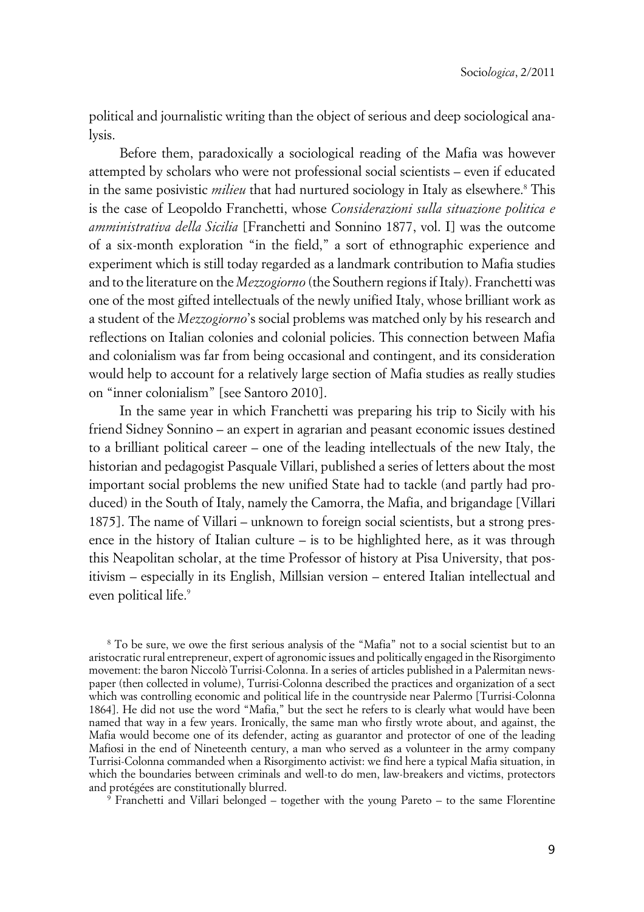political and journalistic writing than the object of serious and deep sociological analysis.

Before them, paradoxically a sociological reading of the Mafia was however attempted by scholars who were not professional social scientists – even if educated in the same posivistic *milieu* that had nurtured sociology in Italy as elsewhere.<sup>8</sup> This is the case of Leopoldo Franchetti, whose *Considerazioni sulla situazione politica e amministrativa della Sicilia* [Franchetti and Sonnino 1877, vol. I] was the outcome of a six-month exploration "in the field," a sort of ethnographic experience and experiment which is still today regarded as a landmark contribution to Mafia studies and to the literature on the *Mezzogiorno* (the Southern regions if Italy). Franchetti was one of the most gifted intellectuals of the newly unified Italy, whose brilliant work as a student of the *Mezzogiorno*'s social problems was matched only by his research and reflections on Italian colonies and colonial policies. This connection between Mafia and colonialism was far from being occasional and contingent, and its consideration would help to account for a relatively large section of Mafia studies as really studies on "inner colonialism" [see Santoro 2010].

In the same year in which Franchetti was preparing his trip to Sicily with his friend Sidney Sonnino – an expert in agrarian and peasant economic issues destined to a brilliant political career – one of the leading intellectuals of the new Italy, the historian and pedagogist Pasquale Villari, published a series of letters about the most important social problems the new unified State had to tackle (and partly had produced) in the South of Italy, namely the Camorra, the Mafia, and brigandage [Villari 1875]. The name of Villari – unknown to foreign social scientists, but a strong presence in the history of Italian culture – is to be highlighted here, as it was through this Neapolitan scholar, at the time Professor of history at Pisa University, that positivism – especially in its English, Millsian version – entered Italian intellectual and even political life.<sup>9</sup>

8 To be sure, we owe the first serious analysis of the "Mafia" not to a social scientist but to an aristocratic rural entrepreneur, expert of agronomic issues and politically engaged in the Risorgimento movement: the baron Niccolò Turrisi-Colonna. In a series of articles published in a Palermitan newspaper (then collected in volume), Turrisi-Colonna described the practices and organization of a sect which was controlling economic and political life in the countryside near Palermo [Turrisi-Colonna 1864]. He did not use the word "Mafia," but the sect he refers to is clearly what would have been named that way in a few years. Ironically, the same man who firstly wrote about, and against, the Mafia would become one of its defender, acting as guarantor and protector of one of the leading Mafiosi in the end of Nineteenth century, a man who served as a volunteer in the army company Turrisi-Colonna commanded when a Risorgimento activist: we find here a typical Mafia situation, in which the boundaries between criminals and well-to do men, law-breakers and victims, protectors and protégées are constitutionally blurred.

9 Franchetti and Villari belonged – together with the young Pareto – to the same Florentine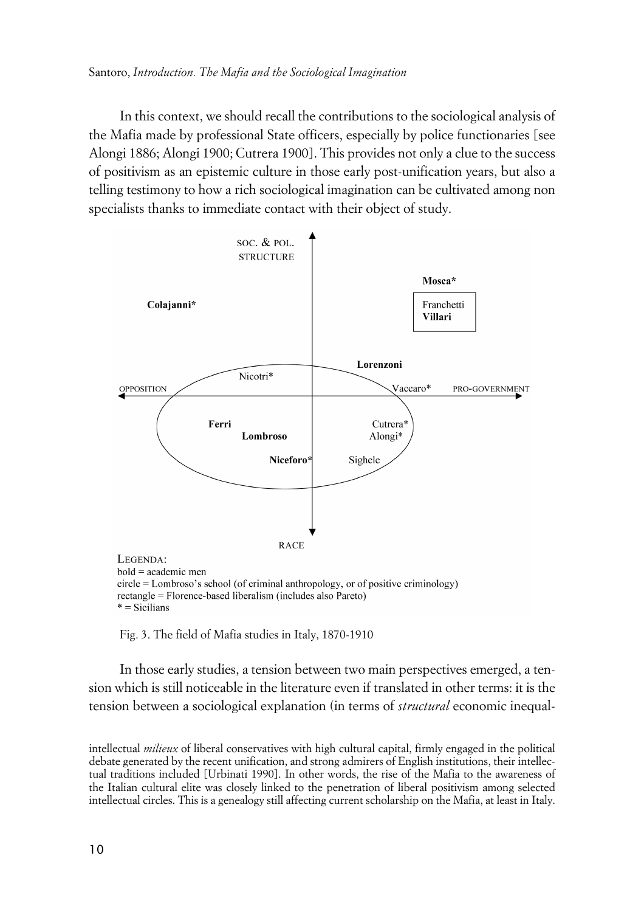In this context, we should recall the contributions to the sociological analysis of the Mafia made by professional State officers, especially by police functionaries [see Alongi 1886; Alongi 1900; Cutrera 1900]. This provides not only a clue to the success of positivism as an epistemic culture in those early post-unification years, but also a telling testimony to how a rich sociological imagination can be cultivated among non specialists thanks to immediate contact with their object of study.



Fig. 3. The field of Mafia studies in Italy, 1870-1910

In those early studies, a tension between two main perspectives emerged, a tension which is still noticeable in the literature even if translated in other terms: it is the tension between a sociological explanation (in terms of *structural* economic inequal-

intellectual *milieux* of liberal conservatives with high cultural capital, firmly engaged in the political debate generated by the recent unification, and strong admirers of English institutions, their intellectual traditions included [Urbinati 1990]. In other words, the rise of the Mafia to the awareness of the Italian cultural elite was closely linked to the penetration of liberal positivism among selected intellectual circles. This is a genealogy still affecting current scholarship on the Mafia, at least in Italy.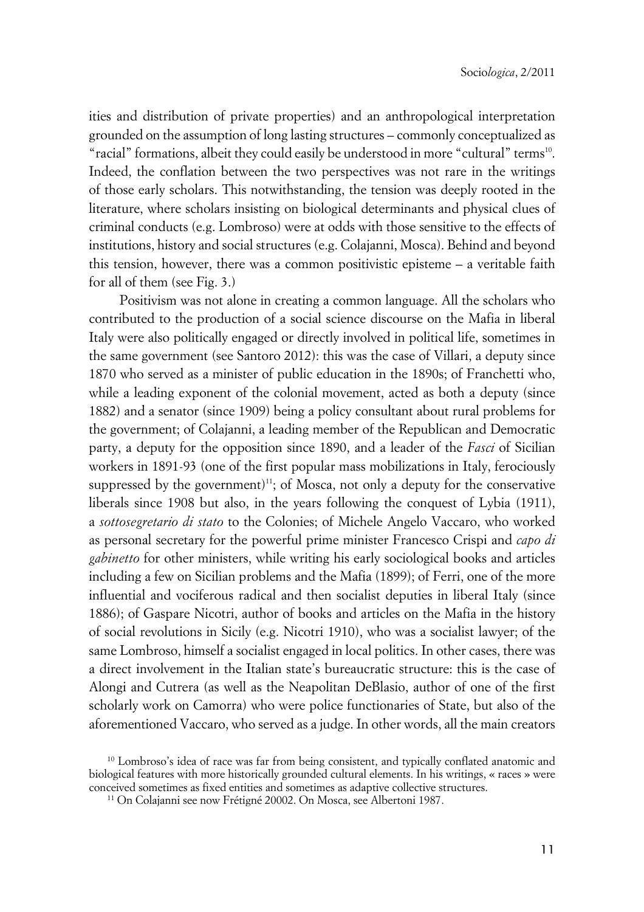ities and distribution of private properties) and an anthropological interpretation grounded on the assumption of long lasting structures – commonly conceptualized as "racial" formations, albeit they could easily be understood in more "cultural" terms<sup>10</sup>. Indeed, the conflation between the two perspectives was not rare in the writings of those early scholars. This notwithstanding, the tension was deeply rooted in the literature, where scholars insisting on biological determinants and physical clues of criminal conducts (e.g. Lombroso) were at odds with those sensitive to the effects of institutions, history and social structures (e.g. Colajanni, Mosca). Behind and beyond this tension, however, there was a common positivistic episteme – a veritable faith for all of them (see Fig. 3.)

Positivism was not alone in creating a common language. All the scholars who contributed to the production of a social science discourse on the Mafia in liberal Italy were also politically engaged or directly involved in political life, sometimes in the same government (see Santoro 2012): this was the case of Villari, a deputy since 1870 who served as a minister of public education in the 1890s; of Franchetti who, while a leading exponent of the colonial movement, acted as both a deputy (since 1882) and a senator (since 1909) being a policy consultant about rural problems for the government; of Colajanni, a leading member of the Republican and Democratic party, a deputy for the opposition since 1890, and a leader of the *Fasci* of Sicilian workers in 1891-93 (one of the first popular mass mobilizations in Italy, ferociously suppressed by the government)<sup>11</sup>; of Mosca, not only a deputy for the conservative liberals since 1908 but also, in the years following the conquest of Lybia (1911), a *sottosegretario di stato* to the Colonies; of Michele Angelo Vaccaro, who worked as personal secretary for the powerful prime minister Francesco Crispi and *capo di gabinetto* for other ministers, while writing his early sociological books and articles including a few on Sicilian problems and the Mafia (1899); of Ferri, one of the more influential and vociferous radical and then socialist deputies in liberal Italy (since 1886); of Gaspare Nicotri, author of books and articles on the Mafia in the history of social revolutions in Sicily (e.g. Nicotri 1910), who was a socialist lawyer; of the same Lombroso, himself a socialist engaged in local politics. In other cases, there was a direct involvement in the Italian state's bureaucratic structure: this is the case of Alongi and Cutrera (as well as the Neapolitan DeBlasio, author of one of the first scholarly work on Camorra) who were police functionaries of State, but also of the aforementioned Vaccaro, who served as a judge. In other words, all the main creators

<sup>10</sup> Lombroso's idea of race was far from being consistent, and typically conflated anatomic and biological features with more historically grounded cultural elements. In his writings, « races » were conceived sometimes as fixed entities and sometimes as adaptive collective structures.

<sup>11</sup> On Colajanni see now Frétigné 20002. On Mosca, see Albertoni 1987.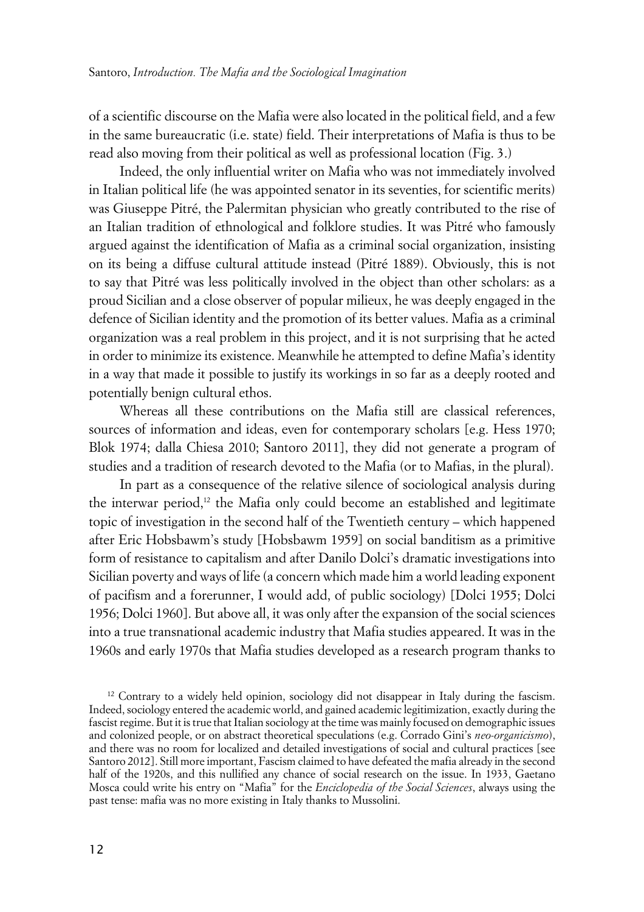of a scientific discourse on the Mafia were also located in the political field, and a few in the same bureaucratic (i.e. state) field. Their interpretations of Mafia is thus to be read also moving from their political as well as professional location (Fig. 3.)

Indeed, the only influential writer on Mafia who was not immediately involved in Italian political life (he was appointed senator in its seventies, for scientific merits) was Giuseppe Pitré, the Palermitan physician who greatly contributed to the rise of an Italian tradition of ethnological and folklore studies. It was Pitré who famously argued against the identification of Mafia as a criminal social organization, insisting on its being a diffuse cultural attitude instead (Pitré 1889). Obviously, this is not to say that Pitré was less politically involved in the object than other scholars: as a proud Sicilian and a close observer of popular milieux, he was deeply engaged in the defence of Sicilian identity and the promotion of its better values. Mafia as a criminal organization was a real problem in this project, and it is not surprising that he acted in order to minimize its existence. Meanwhile he attempted to define Mafia's identity in a way that made it possible to justify its workings in so far as a deeply rooted and potentially benign cultural ethos.

Whereas all these contributions on the Mafia still are classical references, sources of information and ideas, even for contemporary scholars [e.g. Hess 1970; Blok 1974; dalla Chiesa 2010; Santoro 2011], they did not generate a program of studies and a tradition of research devoted to the Mafia (or to Mafias, in the plural).

In part as a consequence of the relative silence of sociological analysis during the interwar period, $12$  the Mafia only could become an established and legitimate topic of investigation in the second half of the Twentieth century – which happened after Eric Hobsbawm's study [Hobsbawm 1959] on social banditism as a primitive form of resistance to capitalism and after Danilo Dolci's dramatic investigations into Sicilian poverty and ways of life (a concern which made him a world leading exponent of pacifism and a forerunner, I would add, of public sociology) [Dolci 1955; Dolci 1956; Dolci 1960]. But above all, it was only after the expansion of the social sciences into a true transnational academic industry that Mafia studies appeared. It was in the 1960s and early 1970s that Mafia studies developed as a research program thanks to

<sup>12</sup> Contrary to a widely held opinion, sociology did not disappear in Italy during the fascism. Indeed, sociology entered the academic world, and gained academic legitimization, exactly during the fascist regime. But it is true that Italian sociology at the time was mainly focused on demographic issues and colonized people, or on abstract theoretical speculations (e.g. Corrado Gini's *neo-organicismo*), and there was no room for localized and detailed investigations of social and cultural practices [see Santoro 2012]. Still more important, Fascism claimed to have defeated the mafia already in the second half of the 1920s, and this nullified any chance of social research on the issue. In 1933, Gaetano Mosca could write his entry on "Mafia" for the *Enciclopedia of the Social Sciences*, always using the past tense: mafia was no more existing in Italy thanks to Mussolini.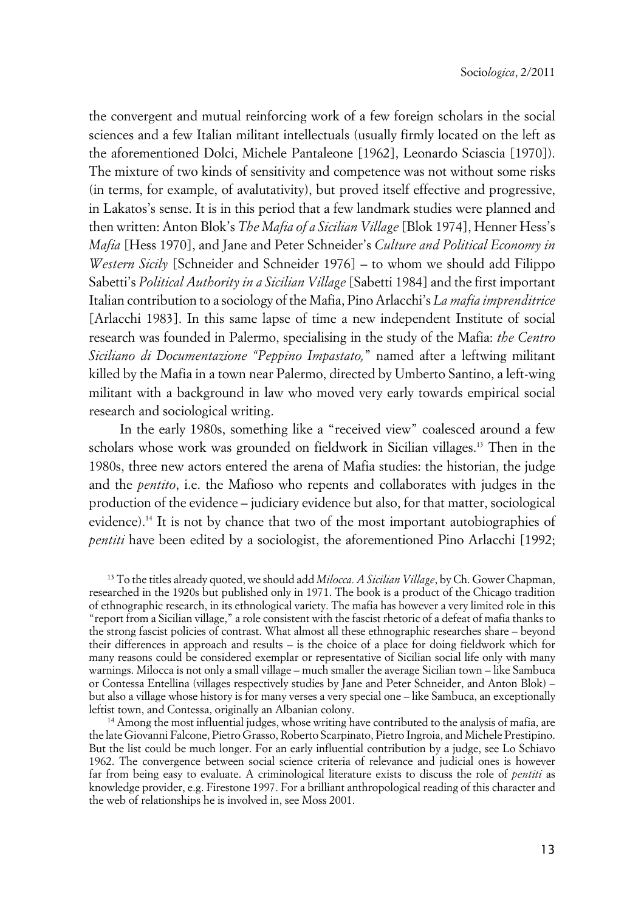the convergent and mutual reinforcing work of a few foreign scholars in the social sciences and a few Italian militant intellectuals (usually firmly located on the left as the aforementioned Dolci, Michele Pantaleone [1962], Leonardo Sciascia [1970]). The mixture of two kinds of sensitivity and competence was not without some risks (in terms, for example, of avalutativity), but proved itself effective and progressive, in Lakatos's sense. It is in this period that a few landmark studies were planned and then written: Anton Blok's *The Mafia of a Sicilian Village* [Blok 1974], Henner Hess's *Mafia* [Hess 1970], and Jane and Peter Schneider's *Culture and Political Economy in Western Sicily* [Schneider and Schneider 1976] – to whom we should add Filippo Sabetti's *Political Authority in a Sicilian Village* [Sabetti 1984] and the first important Italian contribution to a sociology of the Mafia, Pino Arlacchi's *La mafia imprenditrice* [Arlacchi 1983]. In this same lapse of time a new independent Institute of social research was founded in Palermo, specialising in the study of the Mafia: *the Centro Siciliano di Documentazione "Peppino Impastato,*" named after a leftwing militant killed by the Mafia in a town near Palermo, directed by Umberto Santino, a left-wing militant with a background in law who moved very early towards empirical social research and sociological writing.

In the early 1980s, something like a "received view" coalesced around a few scholars whose work was grounded on fieldwork in Sicilian villages.<sup>13</sup> Then in the 1980s, three new actors entered the arena of Mafia studies: the historian, the judge and the *pentito*, i.e. the Mafioso who repents and collaborates with judges in the production of the evidence – judiciary evidence but also, for that matter, sociological evidence).<sup>14</sup> It is not by chance that two of the most important autobiographies of *pentiti* have been edited by a sociologist, the aforementioned Pino Arlacchi [1992;

<sup>13</sup> To the titles already quoted, we should add *Milocca. A Sicilian Village*, by Ch. Gower Chapman, researched in the 1920s but published only in 1971. The book is a product of the Chicago tradition of ethnographic research, in its ethnological variety. The mafia has however a very limited role in this "report from a Sicilian village," a role consistent with the fascist rhetoric of a defeat of mafia thanks to the strong fascist policies of contrast. What almost all these ethnographic researches share – beyond their differences in approach and results – is the choice of a place for doing fieldwork which for many reasons could be considered exemplar or representative of Sicilian social life only with many warnings. Milocca is not only a small village – much smaller the average Sicilian town – like Sambuca or Contessa Entellina (villages respectively studies by Jane and Peter Schneider, and Anton Blok) – but also a village whose history is for many verses a very special one – like Sambuca, an exceptionally leftist town, and Contessa, originally an Albanian colony.

<sup>14</sup> Among the most influential judges, whose writing have contributed to the analysis of mafia, are the late Giovanni Falcone, Pietro Grasso, Roberto Scarpinato, Pietro Ingroia, and Michele Prestipino. But the list could be much longer. For an early influential contribution by a judge, see Lo Schiavo 1962. The convergence between social science criteria of relevance and judicial ones is however far from being easy to evaluate. A criminological literature exists to discuss the role of *pentiti* as knowledge provider, e.g. Firestone 1997. For a brilliant anthropological reading of this character and the web of relationships he is involved in, see Moss 2001.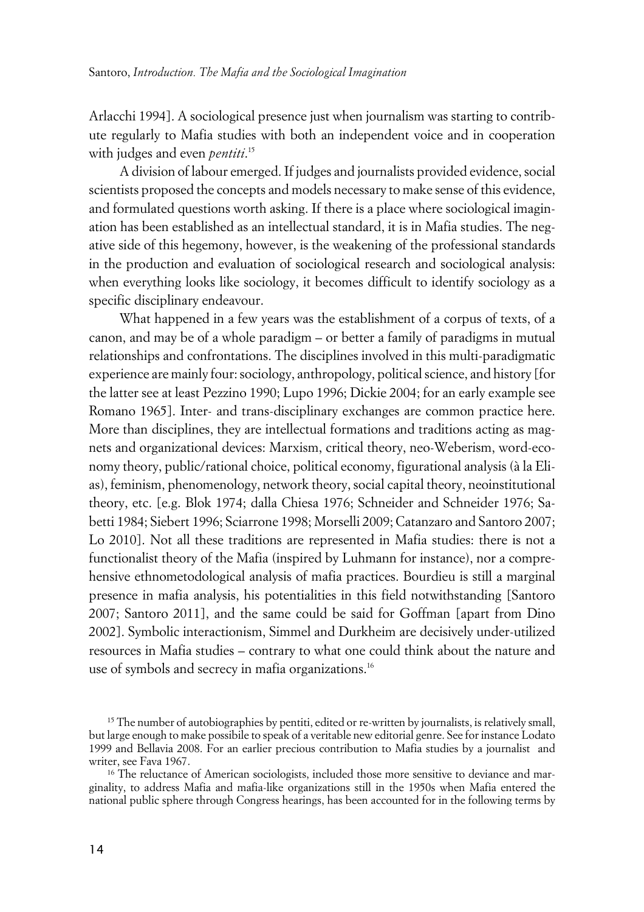Arlacchi 1994]. A sociological presence just when journalism was starting to contribute regularly to Mafia studies with both an independent voice and in cooperation with judges and even *pentiti*. 15

A division of labour emerged. If judges and journalists provided evidence, social scientists proposed the concepts and models necessary to make sense of this evidence, and formulated questions worth asking. If there is a place where sociological imagination has been established as an intellectual standard, it is in Mafia studies. The negative side of this hegemony, however, is the weakening of the professional standards in the production and evaluation of sociological research and sociological analysis: when everything looks like sociology, it becomes difficult to identify sociology as a specific disciplinary endeavour.

What happened in a few years was the establishment of a corpus of texts, of a canon, and may be of a whole paradigm – or better a family of paradigms in mutual relationships and confrontations. The disciplines involved in this multi-paradigmatic experience are mainly four: sociology, anthropology, political science, and history [for the latter see at least Pezzino 1990; Lupo 1996; Dickie 2004; for an early example see Romano 1965]. Inter- and trans-disciplinary exchanges are common practice here. More than disciplines, they are intellectual formations and traditions acting as magnets and organizational devices: Marxism, critical theory, neo-Weberism, word-economy theory, public/rational choice, political economy, figurational analysis (à la Elias), feminism, phenomenology, network theory, social capital theory, neoinstitutional theory, etc. [e.g. Blok 1974; dalla Chiesa 1976; Schneider and Schneider 1976; Sabetti 1984; Siebert 1996; Sciarrone 1998; Morselli 2009; Catanzaro and Santoro 2007; Lo 2010]. Not all these traditions are represented in Mafia studies: there is not a functionalist theory of the Mafia (inspired by Luhmann for instance), nor a comprehensive ethnometodological analysis of mafia practices. Bourdieu is still a marginal presence in mafia analysis, his potentialities in this field notwithstanding [Santoro 2007; Santoro 2011], and the same could be said for Goffman [apart from Dino 2002]. Symbolic interactionism, Simmel and Durkheim are decisively under-utilized resources in Mafia studies – contrary to what one could think about the nature and use of symbols and secrecy in mafia organizations.<sup>16</sup>

 $15$  The number of autobiographies by pentiti, edited or re-written by journalists, is relatively small, but large enough to make possibile to speak of a veritable new editorial genre. See for instance Lodato 1999 and Bellavia 2008. For an earlier precious contribution to Mafia studies by a journalist and writer, see Fava 1967.

<sup>&</sup>lt;sup>16</sup> The reluctance of American sociologists, included those more sensitive to deviance and marginality, to address Mafia and mafia-like organizations still in the 1950s when Mafia entered the national public sphere through Congress hearings, has been accounted for in the following terms by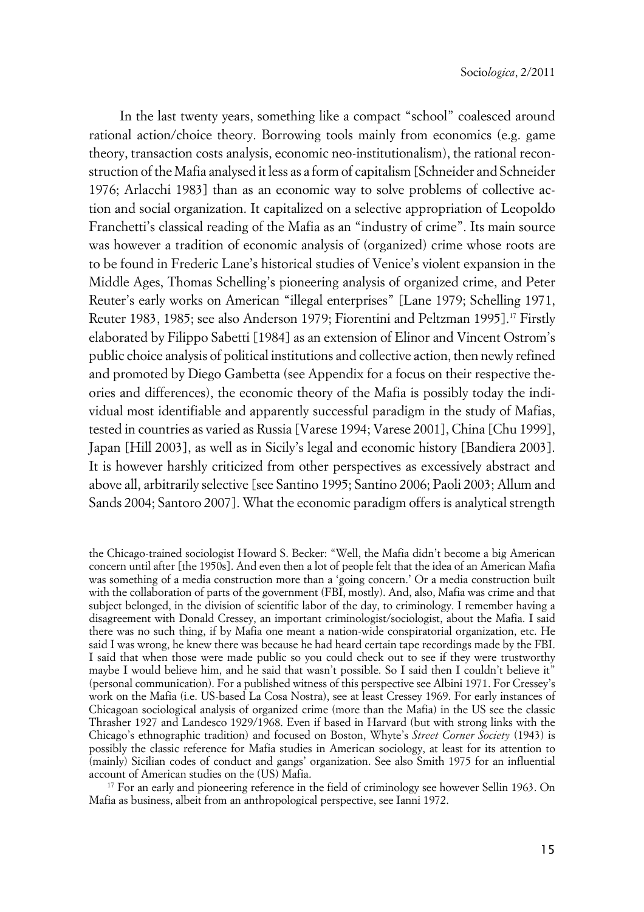In the last twenty years, something like a compact "school" coalesced around rational action/choice theory. Borrowing tools mainly from economics (e.g. game theory, transaction costs analysis, economic neo-institutionalism), the rational reconstruction of the Mafia analysed it less as a form of capitalism [Schneider and Schneider 1976; Arlacchi 1983] than as an economic way to solve problems of collective action and social organization. It capitalized on a selective appropriation of Leopoldo Franchetti's classical reading of the Mafia as an "industry of crime". Its main source was however a tradition of economic analysis of (organized) crime whose roots are to be found in Frederic Lane's historical studies of Venice's violent expansion in the Middle Ages, Thomas Schelling's pioneering analysis of organized crime, and Peter Reuter's early works on American "illegal enterprises" [Lane 1979; Schelling 1971, Reuter 1983, 1985; see also Anderson 1979; Fiorentini and Peltzman 1995].<sup>17</sup> Firstly elaborated by Filippo Sabetti [1984] as an extension of Elinor and Vincent Ostrom's public choice analysis of political institutions and collective action, then newly refined and promoted by Diego Gambetta (see Appendix for a focus on their respective theories and differences), the economic theory of the Mafia is possibly today the individual most identifiable and apparently successful paradigm in the study of Mafias, tested in countries as varied as Russia [Varese 1994; Varese 2001], China [Chu 1999], Japan [Hill 2003], as well as in Sicily's legal and economic history [Bandiera 2003]. It is however harshly criticized from other perspectives as excessively abstract and above all, arbitrarily selective [see Santino 1995; Santino 2006; Paoli 2003; Allum and Sands 2004; Santoro 2007]. What the economic paradigm offers is analytical strength

<sup>17</sup> For an early and pioneering reference in the field of criminology see however Sellin 1963. On Mafia as business, albeit from an anthropological perspective, see Ianni 1972.

the Chicago-trained sociologist Howard S. Becker: "Well, the Mafia didn't become a big American concern until after [the 1950s]. And even then a lot of people felt that the idea of an American Mafia was something of a media construction more than a 'going concern.' Or a media construction built with the collaboration of parts of the government (FBI, mostly). And, also, Mafia was crime and that subject belonged, in the division of scientific labor of the day, to criminology. I remember having a disagreement with Donald Cressey, an important criminologist/sociologist, about the Mafia. I said there was no such thing, if by Mafia one meant a nation-wide conspiratorial organization, etc. He said I was wrong, he knew there was because he had heard certain tape recordings made by the FBI. I said that when those were made public so you could check out to see if they were trustworthy maybe I would believe him, and he said that wasn't possible. So I said then I couldn't believe it" (personal communication). For a published witness of this perspective see Albini 1971. For Cressey's work on the Mafia (i.e. US-based La Cosa Nostra), see at least Cressey 1969. For early instances of Chicagoan sociological analysis of organized crime (more than the Mafia) in the US see the classic Thrasher 1927 and Landesco 1929/1968. Even if based in Harvard (but with strong links with the Chicago's ethnographic tradition) and focused on Boston, Whyte's *Street Corner Society* (1943) is possibly the classic reference for Mafia studies in American sociology, at least for its attention to (mainly) Sicilian codes of conduct and gangs' organization. See also Smith 1975 for an influential account of American studies on the (US) Mafia.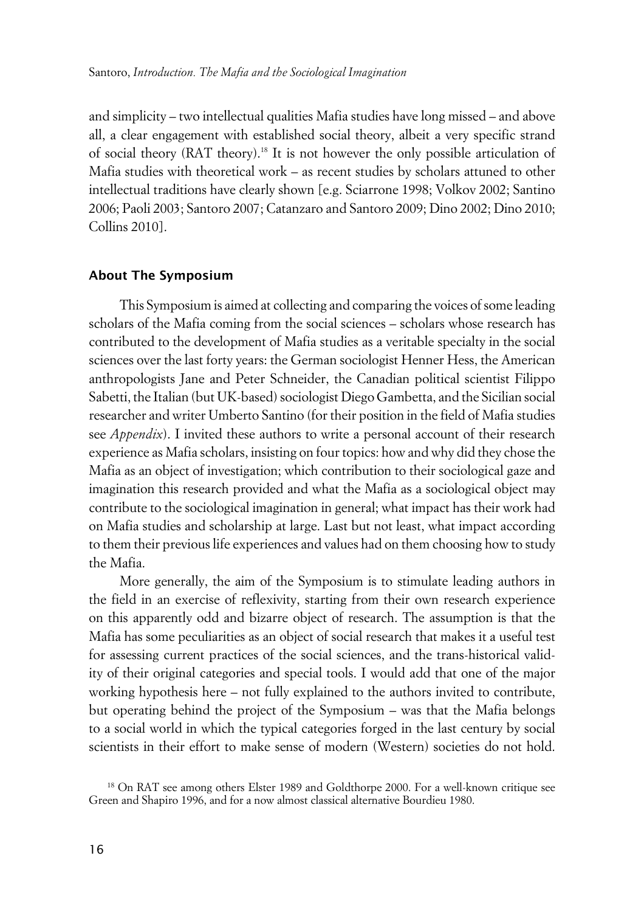and simplicity – two intellectual qualities Mafia studies have long missed – and above all, a clear engagement with established social theory, albeit a very specific strand of social theory (RAT theory).18 It is not however the only possible articulation of Mafia studies with theoretical work – as recent studies by scholars attuned to other intellectual traditions have clearly shown [e.g. Sciarrone 1998; Volkov 2002; Santino 2006; Paoli 2003; Santoro 2007; Catanzaro and Santoro 2009; Dino 2002; Dino 2010; Collins 2010].

#### **xAbout The Symposium**

This Symposium is aimed at collecting and comparing the voices of some leading scholars of the Mafia coming from the social sciences – scholars whose research has contributed to the development of Mafia studies as a veritable specialty in the social sciences over the last forty years: the German sociologist Henner Hess, the American anthropologists Jane and Peter Schneider, the Canadian political scientist Filippo Sabetti, the Italian (but UK-based) sociologist Diego Gambetta, and the Sicilian social researcher and writer Umberto Santino (for their position in the field of Mafia studies see *Appendix*). I invited these authors to write a personal account of their research experience as Mafia scholars, insisting on four topics: how and why did they chose the Mafia as an object of investigation; which contribution to their sociological gaze and imagination this research provided and what the Mafia as a sociological object may contribute to the sociological imagination in general; what impact has their work had on Mafia studies and scholarship at large. Last but not least, what impact according to them their previous life experiences and values had on them choosing how to study the Mafia.

More generally, the aim of the Symposium is to stimulate leading authors in the field in an exercise of reflexivity, starting from their own research experience on this apparently odd and bizarre object of research. The assumption is that the Mafia has some peculiarities as an object of social research that makes it a useful test for assessing current practices of the social sciences, and the trans-historical validity of their original categories and special tools. I would add that one of the major working hypothesis here – not fully explained to the authors invited to contribute, but operating behind the project of the Symposium – was that the Mafia belongs to a social world in which the typical categories forged in the last century by social scientists in their effort to make sense of modern (Western) societies do not hold.

<sup>&</sup>lt;sup>18</sup> On RAT see among others Elster 1989 and Goldthorpe 2000. For a well-known critique see Green and Shapiro 1996, and for a now almost classical alternative Bourdieu 1980.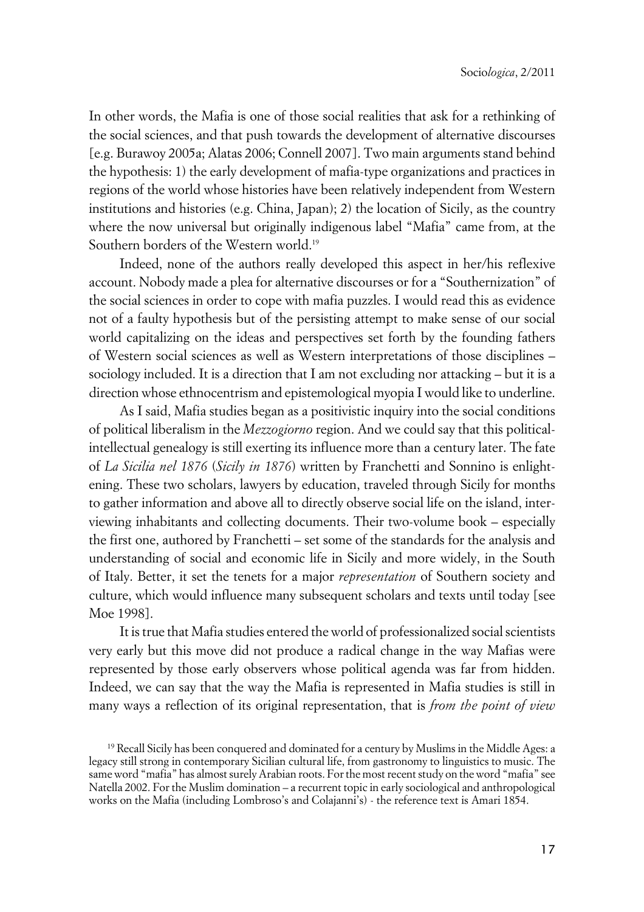In other words, the Mafia is one of those social realities that ask for a rethinking of the social sciences, and that push towards the development of alternative discourses [e.g. Burawoy 2005a; Alatas 2006; Connell 2007]. Two main arguments stand behind the hypothesis: 1) the early development of mafia-type organizations and practices in regions of the world whose histories have been relatively independent from Western institutions and histories (e.g. China, Japan); 2) the location of Sicily, as the country where the now universal but originally indigenous label "Mafia" came from, at the Southern borders of the Western world.<sup>19</sup>

Indeed, none of the authors really developed this aspect in her/his reflexive account. Nobody made a plea for alternative discourses or for a "Southernization" of the social sciences in order to cope with mafia puzzles. I would read this as evidence not of a faulty hypothesis but of the persisting attempt to make sense of our social world capitalizing on the ideas and perspectives set forth by the founding fathers of Western social sciences as well as Western interpretations of those disciplines – sociology included. It is a direction that I am not excluding nor attacking – but it is a direction whose ethnocentrism and epistemological myopia I would like to underline.

As I said, Mafia studies began as a positivistic inquiry into the social conditions of political liberalism in the *Mezzogiorno* region. And we could say that this politicalintellectual genealogy is still exerting its influence more than a century later. The fate of *La Sicilia nel 1876* (*Sicily in 1876*) written by Franchetti and Sonnino is enlightening. These two scholars, lawyers by education, traveled through Sicily for months to gather information and above all to directly observe social life on the island, interviewing inhabitants and collecting documents. Their two-volume book – especially the first one, authored by Franchetti – set some of the standards for the analysis and understanding of social and economic life in Sicily and more widely, in the South of Italy. Better, it set the tenets for a major *representation* of Southern society and culture, which would influence many subsequent scholars and texts until today [see Moe 1998].

It is true that Mafia studies entered the world of professionalized social scientists very early but this move did not produce a radical change in the way Mafias were represented by those early observers whose political agenda was far from hidden. Indeed, we can say that the way the Mafia is represented in Mafia studies is still in many ways a reflection of its original representation, that is *from the point of view*

<sup>19</sup> Recall Sicily has been conquered and dominated for a century by Muslims in the Middle Ages: a legacy still strong in contemporary Sicilian cultural life, from gastronomy to linguistics to music. The same word "mafia" has almost surely Arabian roots. For the most recent study on the word "mafia" see Natella 2002. For the Muslim domination – a recurrent topic in early sociological and anthropological works on the Mafia (including Lombroso's and Colajanni's) - the reference text is Amari 1854.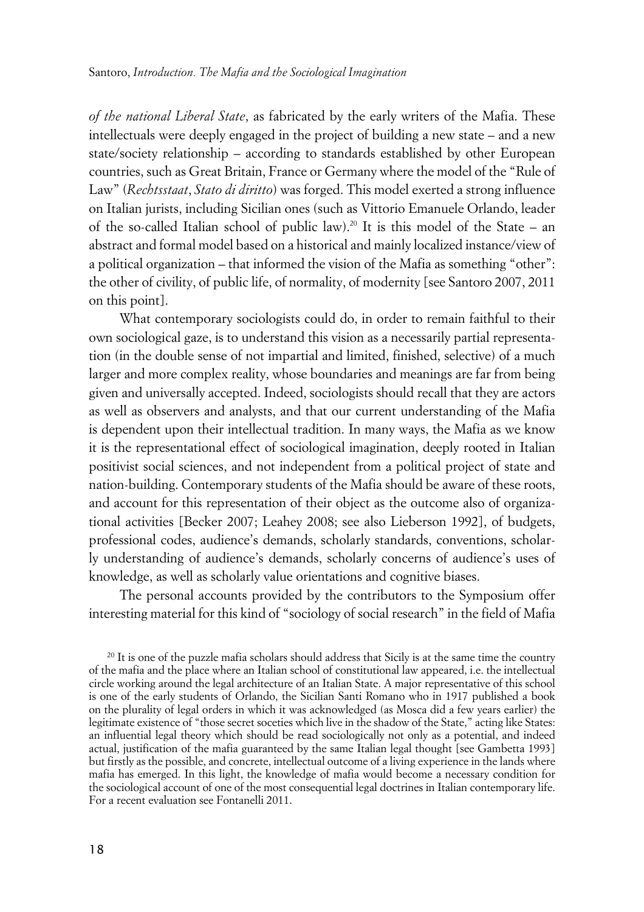*of the national Liberal State*, as fabricated by the early writers of the Mafia. These intellectuals were deeply engaged in the project of building a new state – and a new state/society relationship – according to standards established by other European countries, such as Great Britain, France or Germany where the model of the "Rule of Law" (*Rechtsstaat*, *Stato di diritto*) was forged. This model exerted a strong influence on Italian jurists, including Sicilian ones (such as Vittorio Emanuele Orlando, leader of the so-called Italian school of public law).20 It is this model of the State – an abstract and formal model based on a historical and mainly localized instance/view of a political organization – that informed the vision of the Mafia as something "other": the other of civility, of public life, of normality, of modernity [see Santoro 2007, 2011 on this point].

What contemporary sociologists could do, in order to remain faithful to their own sociological gaze, is to understand this vision as a necessarily partial representation (in the double sense of not impartial and limited, finished, selective) of a much larger and more complex reality, whose boundaries and meanings are far from being given and universally accepted. Indeed, sociologists should recall that they are actors as well as observers and analysts, and that our current understanding of the Mafia is dependent upon their intellectual tradition. In many ways, the Mafia as we know it is the representational effect of sociological imagination, deeply rooted in Italian positivist social sciences, and not independent from a political project of state and nation-building. Contemporary students of the Mafia should be aware of these roots, and account for this representation of their object as the outcome also of organizational activities [Becker 2007; Leahey 2008; see also Lieberson 1992], of budgets, professional codes, audience's demands, scholarly standards, conventions, scholarly understanding of audience's demands, scholarly concerns of audience's uses of knowledge, as well as scholarly value orientations and cognitive biases.

The personal accounts provided by the contributors to the Symposium offer interesting material for this kind of "sociology of social research" in the field of Mafia

<sup>20</sup> It is one of the puzzle mafia scholars should address that Sicily is at the same time the country of the mafia and the place where an Italian school of constitutional law appeared, i.e. the intellectual circle working around the legal architecture of an Italian State. A major representative of this school is one of the early students of Orlando, the Sicilian Santi Romano who in 1917 published a book on the plurality of legal orders in which it was acknowledged (as Mosca did a few years earlier) the legitimate existence of "those secret soceties which live in the shadow of the State," acting like States: an influential legal theory which should be read sociologically not only as a potential, and indeed actual, justification of the mafia guaranteed by the same Italian legal thought [see Gambetta 1993] but firstly as the possible, and concrete, intellectual outcome of a living experience in the lands where mafia has emerged. In this light, the knowledge of mafia would become a necessary condition for the sociological account of one of the most consequential legal doctrines in Italian contemporary life. For a recent evaluation see Fontanelli 2011.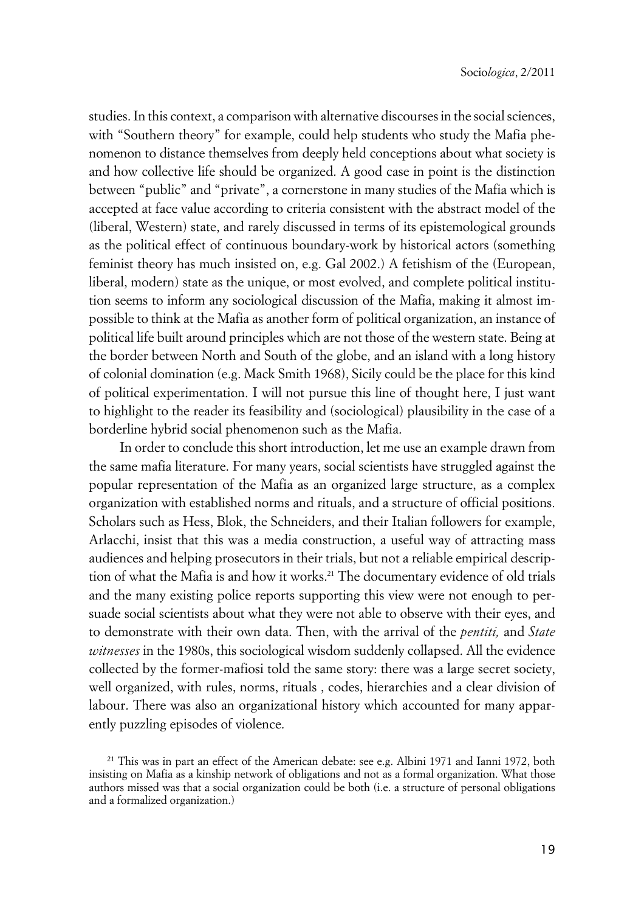studies. In this context, a comparison with alternative discourses in the social sciences, with "Southern theory" for example, could help students who study the Mafia phenomenon to distance themselves from deeply held conceptions about what society is and how collective life should be organized. A good case in point is the distinction between "public" and "private", a cornerstone in many studies of the Mafia which is accepted at face value according to criteria consistent with the abstract model of the (liberal, Western) state, and rarely discussed in terms of its epistemological grounds as the political effect of continuous boundary-work by historical actors (something feminist theory has much insisted on, e.g. Gal 2002.) A fetishism of the (European, liberal, modern) state as the unique, or most evolved, and complete political institution seems to inform any sociological discussion of the Mafia, making it almost impossible to think at the Mafia as another form of political organization, an instance of political life built around principles which are not those of the western state. Being at the border between North and South of the globe, and an island with a long history of colonial domination (e.g. Mack Smith 1968), Sicily could be the place for this kind of political experimentation. I will not pursue this line of thought here, I just want to highlight to the reader its feasibility and (sociological) plausibility in the case of a borderline hybrid social phenomenon such as the Mafia.

In order to conclude this short introduction, let me use an example drawn from the same mafia literature. For many years, social scientists have struggled against the popular representation of the Mafia as an organized large structure, as a complex organization with established norms and rituals, and a structure of official positions. Scholars such as Hess, Blok, the Schneiders, and their Italian followers for example, Arlacchi, insist that this was a media construction, a useful way of attracting mass audiences and helping prosecutors in their trials, but not a reliable empirical description of what the Mafia is and how it works.<sup>21</sup> The documentary evidence of old trials and the many existing police reports supporting this view were not enough to persuade social scientists about what they were not able to observe with their eyes, and to demonstrate with their own data. Then, with the arrival of the *pentiti,* and *State witnesses* in the 1980s, this sociological wisdom suddenly collapsed. All the evidence collected by the former-mafiosi told the same story: there was a large secret society, well organized, with rules, norms, rituals , codes, hierarchies and a clear division of labour. There was also an organizational history which accounted for many apparently puzzling episodes of violence.

<sup>&</sup>lt;sup>21</sup> This was in part an effect of the American debate: see e.g. Albini 1971 and Ianni 1972, both insisting on Mafia as a kinship network of obligations and not as a formal organization. What those authors missed was that a social organization could be both (i.e. a structure of personal obligations and a formalized organization.)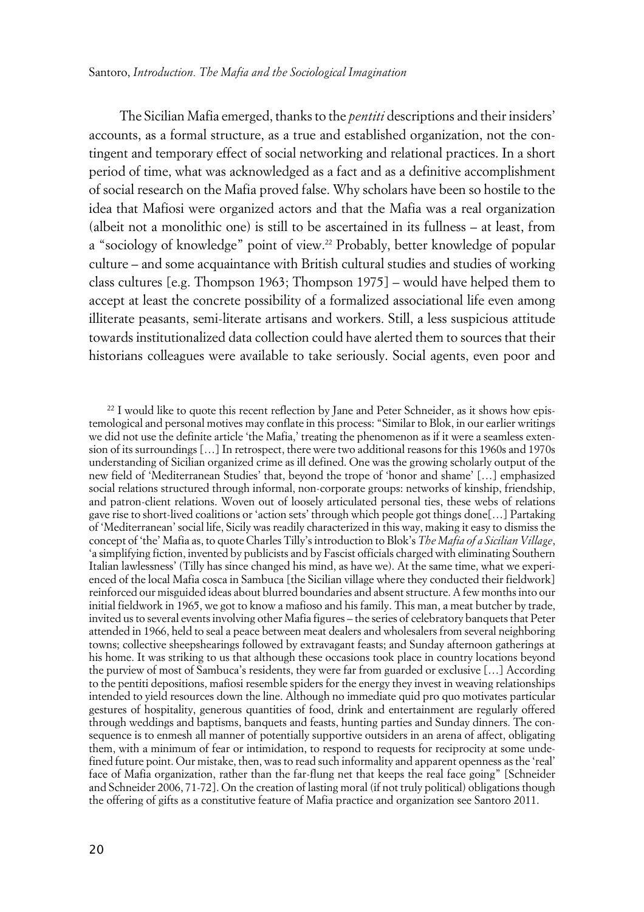The Sicilian Mafia emerged, thanks to the *pentiti* descriptions and their insiders' accounts, as a formal structure, as a true and established organization, not the contingent and temporary effect of social networking and relational practices. In a short period of time, what was acknowledged as a fact and as a definitive accomplishment of social research on the Mafia proved false. Why scholars have been so hostile to the idea that Mafiosi were organized actors and that the Mafia was a real organization (albeit not a monolithic one) is still to be ascertained in its fullness – at least, from a "sociology of knowledge" point of view.<sup>22</sup> Probably, better knowledge of popular culture – and some acquaintance with British cultural studies and studies of working class cultures [e.g. Thompson 1963; Thompson 1975] – would have helped them to accept at least the concrete possibility of a formalized associational life even among illiterate peasants, semi-literate artisans and workers. Still, a less suspicious attitude towards institutionalized data collection could have alerted them to sources that their historians colleagues were available to take seriously. Social agents, even poor and

<sup>&</sup>lt;sup>22</sup> I would like to quote this recent reflection by Jane and Peter Schneider, as it shows how epistemological and personal motives may conflate in this process: "Similar to Blok, in our earlier writings we did not use the definite article 'the Mafia,' treating the phenomenon as if it were a seamless extension of its surroundings […] In retrospect, there were two additional reasons for this 1960s and 1970s understanding of Sicilian organized crime as ill defined. One was the growing scholarly output of the new field of 'Mediterranean Studies' that, beyond the trope of 'honor and shame' […] emphasized social relations structured through informal, non-corporate groups: networks of kinship, friendship, and patron-client relations. Woven out of loosely articulated personal ties, these webs of relations gave rise to short-lived coalitions or 'action sets' through which people got things done[…] Partaking of 'Mediterranean' social life, Sicily was readily characterized in this way, making it easy to dismiss the concept of 'the' Mafia as, to quote Charles Tilly's introduction to Blok's *The Mafia of a Sicilian Village*, 'a simplifying fiction, invented by publicists and by Fascist officials charged with eliminating Southern Italian lawlessness' (Tilly has since changed his mind, as have we). At the same time, what we experienced of the local Mafia cosca in Sambuca [the Sicilian village where they conducted their fieldwork] reinforced our misguided ideas about blurred boundaries and absent structure. A few months into our initial fieldwork in 1965, we got to know a mafioso and his family. This man, a meat butcher by trade, invited us to several events involving other Mafia figures – the series of celebratory banquets that Peter attended in 1966, held to seal a peace between meat dealers and wholesalers from several neighboring towns; collective sheepshearings followed by extravagant feasts; and Sunday afternoon gatherings at his home. It was striking to us that although these occasions took place in country locations beyond the purview of most of Sambuca's residents, they were far from guarded or exclusive […] According to the pentiti depositions, mafiosi resemble spiders for the energy they invest in weaving relationships intended to yield resources down the line. Although no immediate quid pro quo motivates particular gestures of hospitality, generous quantities of food, drink and entertainment are regularly offered through weddings and baptisms, banquets and feasts, hunting parties and Sunday dinners. The consequence is to enmesh all manner of potentially supportive outsiders in an arena of affect, obligating them, with a minimum of fear or intimidation, to respond to requests for reciprocity at some undefined future point. Our mistake, then, was to read such informality and apparent openness as the 'real' face of Mafia organization, rather than the far-flung net that keeps the real face going" [Schneider and Schneider 2006, 71-72]. On the creation of lasting moral (if not truly political) obligations though the offering of gifts as a constitutive feature of Mafia practice and organization see Santoro 2011.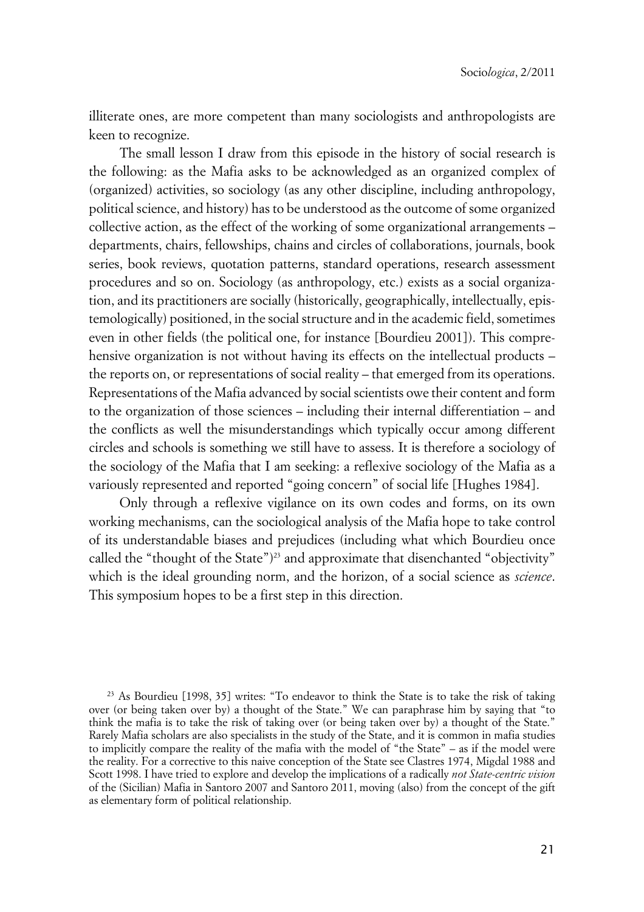illiterate ones, are more competent than many sociologists and anthropologists are keen to recognize.

The small lesson I draw from this episode in the history of social research is the following: as the Mafia asks to be acknowledged as an organized complex of (organized) activities, so sociology (as any other discipline, including anthropology, political science, and history) has to be understood as the outcome of some organized collective action, as the effect of the working of some organizational arrangements – departments, chairs, fellowships, chains and circles of collaborations, journals, book series, book reviews, quotation patterns, standard operations, research assessment procedures and so on. Sociology (as anthropology, etc.) exists as a social organization, and its practitioners are socially (historically, geographically, intellectually, epistemologically) positioned, in the social structure and in the academic field, sometimes even in other fields (the political one, for instance [Bourdieu 2001]). This comprehensive organization is not without having its effects on the intellectual products – the reports on, or representations of social reality – that emerged from its operations. Representations of the Mafia advanced by social scientists owe their content and form to the organization of those sciences – including their internal differentiation – and the conflicts as well the misunderstandings which typically occur among different circles and schools is something we still have to assess. It is therefore a sociology of the sociology of the Mafia that I am seeking: a reflexive sociology of the Mafia as a variously represented and reported "going concern" of social life [Hughes 1984].

Only through a reflexive vigilance on its own codes and forms, on its own working mechanisms, can the sociological analysis of the Mafia hope to take control of its understandable biases and prejudices (including what which Bourdieu once called the "thought of the State")<sup>23</sup> and approximate that disenchanted "objectivity" which is the ideal grounding norm, and the horizon, of a social science as *science*. This symposium hopes to be a first step in this direction.

 $^{23}$  As Bourdieu [1998, 35] writes: "To endeavor to think the State is to take the risk of taking over (or being taken over by) a thought of the State." We can paraphrase him by saying that "to think the mafia is to take the risk of taking over (or being taken over by) a thought of the State." Rarely Mafia scholars are also specialists in the study of the State, and it is common in mafia studies to implicitly compare the reality of the mafia with the model of "the State" – as if the model were the reality. For a corrective to this naive conception of the State see Clastres 1974, Migdal 1988 and Scott 1998. I have tried to explore and develop the implications of a radically *not State-centric vision* of the (Sicilian) Mafia in Santoro 2007 and Santoro 2011, moving (also) from the concept of the gift as elementary form of political relationship.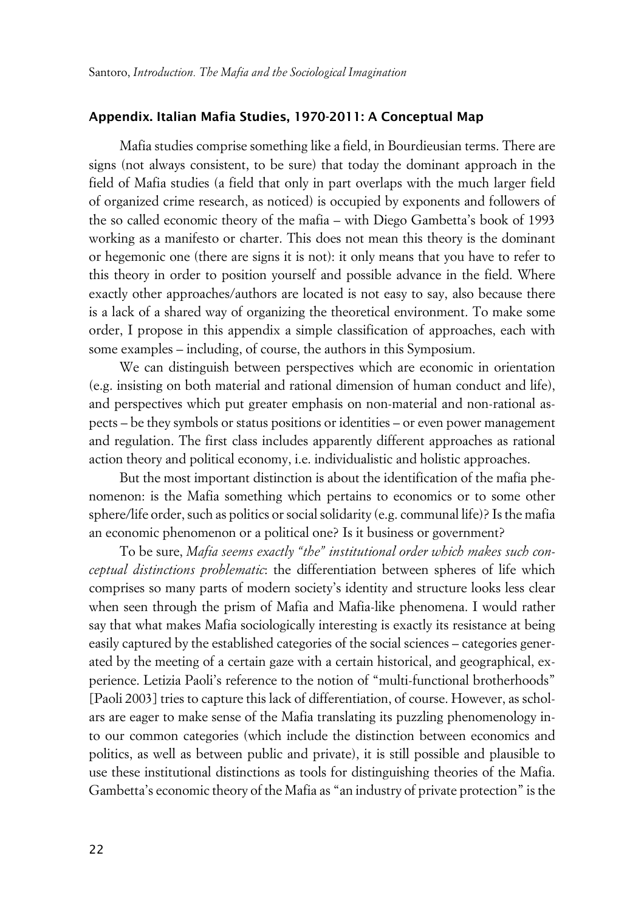#### **xAppendix. Italian Mafia Studies, 1970-2011: A Conceptual Map**

Mafia studies comprise something like a field, in Bourdieusian terms. There are signs (not always consistent, to be sure) that today the dominant approach in the field of Mafia studies (a field that only in part overlaps with the much larger field of organized crime research, as noticed) is occupied by exponents and followers of the so called economic theory of the mafia – with Diego Gambetta's book of 1993 working as a manifesto or charter. This does not mean this theory is the dominant or hegemonic one (there are signs it is not): it only means that you have to refer to this theory in order to position yourself and possible advance in the field. Where exactly other approaches/authors are located is not easy to say, also because there is a lack of a shared way of organizing the theoretical environment. To make some order, I propose in this appendix a simple classification of approaches, each with some examples – including, of course, the authors in this Symposium.

We can distinguish between perspectives which are economic in orientation (e.g. insisting on both material and rational dimension of human conduct and life), and perspectives which put greater emphasis on non-material and non-rational aspects – be they symbols or status positions or identities – or even power management and regulation. The first class includes apparently different approaches as rational action theory and political economy, i.e. individualistic and holistic approaches.

But the most important distinction is about the identification of the mafia phenomenon: is the Mafia something which pertains to economics or to some other sphere/life order, such as politics or social solidarity (e.g. communal life)? Is the mafia an economic phenomenon or a political one? Is it business or government?

To be sure, *Mafia seems exactly "the" institutional order which makes such conceptual distinctions problematic*: the differentiation between spheres of life which comprises so many parts of modern society's identity and structure looks less clear when seen through the prism of Mafia and Mafia-like phenomena. I would rather say that what makes Mafia sociologically interesting is exactly its resistance at being easily captured by the established categories of the social sciences – categories generated by the meeting of a certain gaze with a certain historical, and geographical, experience. Letizia Paoli's reference to the notion of "multi-functional brotherhoods" [Paoli 2003] tries to capture this lack of differentiation, of course. However, as scholars are eager to make sense of the Mafia translating its puzzling phenomenology into our common categories (which include the distinction between economics and politics, as well as between public and private), it is still possible and plausible to use these institutional distinctions as tools for distinguishing theories of the Mafia. Gambetta's economic theory of the Mafia as "an industry of private protection" is the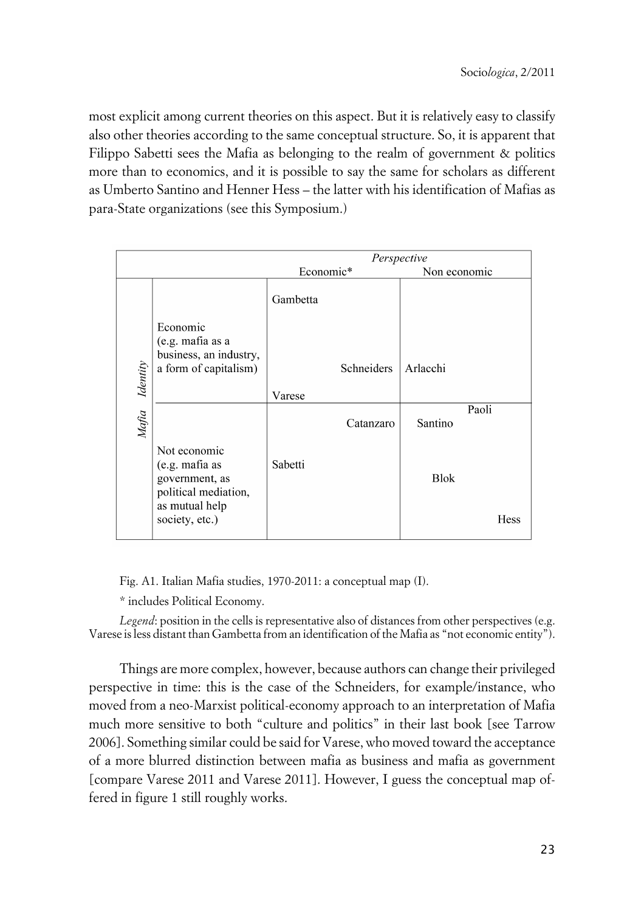most explicit among current theories on this aspect. But it is relatively easy to classify also other theories according to the same conceptual structure. So, it is apparent that Filippo Sabetti sees the Mafia as belonging to the realm of government & politics more than to economics, and it is possible to say the same for scholars as different as Umberto Santino and Henner Hess – the latter with his identification of Mafias as para-State organizations (see this Symposium.)

|          |                                                                                            |           | Perspective |              |       |
|----------|--------------------------------------------------------------------------------------------|-----------|-------------|--------------|-------|
|          |                                                                                            | Economic* |             | Non economic |       |
|          |                                                                                            | Gambetta  |             |              |       |
|          | Economic<br>(e.g. mafia as a<br>business, an industry,                                     |           |             |              |       |
| Identity | a form of capitalism)                                                                      |           | Schneiders  | Arlacchi     |       |
|          |                                                                                            | Varese    |             |              |       |
| Mafia    |                                                                                            |           | Catanzaro   | Santino      | Paoli |
|          | Not economic<br>(e.g. mafia as<br>government, as<br>political mediation,<br>as mutual help | Sabetti   |             | <b>Blok</b>  |       |
|          | society, etc.)                                                                             |           |             |              | Hess  |

Fig. A1. Italian Mafia studies, 1970-2011: a conceptual map (I).

\* includes Political Economy.

*Legend*: position in the cells is representative also of distances from other perspectives (e.g. Varese is less distant than Gambetta from an identification of the Mafia as "not economic entity").

Things are more complex, however, because authors can change their privileged perspective in time: this is the case of the Schneiders, for example/instance, who moved from a neo-Marxist political-economy approach to an interpretation of Mafia much more sensitive to both "culture and politics" in their last book [see Tarrow 2006]. Something similar could be said for Varese, who moved toward the acceptance of a more blurred distinction between mafia as business and mafia as government [compare Varese 2011 and Varese 2011]. However, I guess the conceptual map offered in figure 1 still roughly works.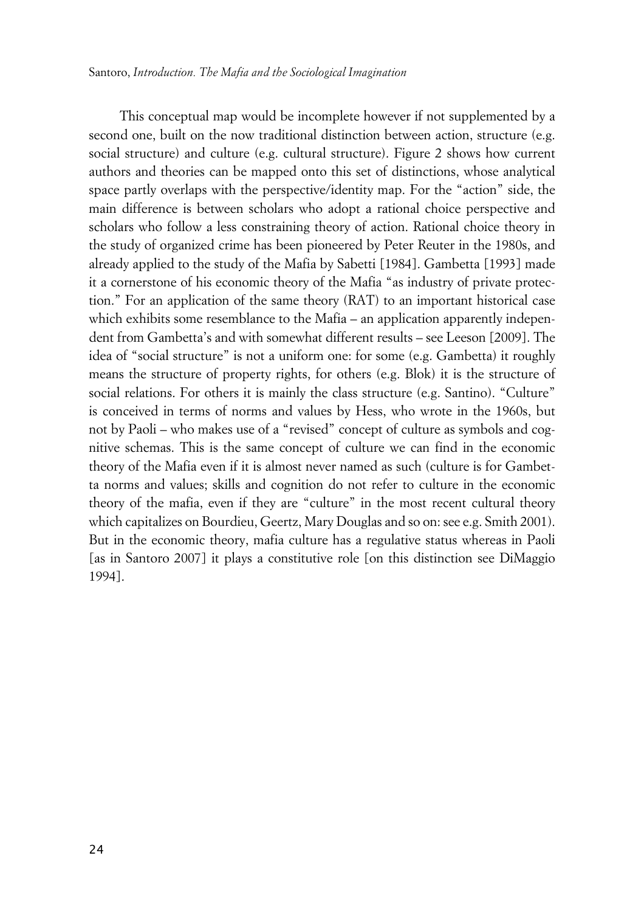This conceptual map would be incomplete however if not supplemented by a second one, built on the now traditional distinction between action, structure (e.g. social structure) and culture (e.g. cultural structure). Figure 2 shows how current authors and theories can be mapped onto this set of distinctions, whose analytical space partly overlaps with the perspective/identity map. For the "action" side, the main difference is between scholars who adopt a rational choice perspective and scholars who follow a less constraining theory of action. Rational choice theory in the study of organized crime has been pioneered by Peter Reuter in the 1980s, and already applied to the study of the Mafia by Sabetti [1984]. Gambetta [1993] made it a cornerstone of his economic theory of the Mafia "as industry of private protection." For an application of the same theory (RAT) to an important historical case which exhibits some resemblance to the Mafia – an application apparently independent from Gambetta's and with somewhat different results – see Leeson [2009]. The idea of "social structure" is not a uniform one: for some (e.g. Gambetta) it roughly means the structure of property rights, for others (e.g. Blok) it is the structure of social relations. For others it is mainly the class structure (e.g. Santino). "Culture" is conceived in terms of norms and values by Hess, who wrote in the 1960s, but not by Paoli – who makes use of a "revised" concept of culture as symbols and cognitive schemas. This is the same concept of culture we can find in the economic theory of the Mafia even if it is almost never named as such (culture is for Gambetta norms and values; skills and cognition do not refer to culture in the economic theory of the mafia, even if they are "culture" in the most recent cultural theory which capitalizes on Bourdieu, Geertz, Mary Douglas and so on: see e.g. Smith 2001). But in the economic theory, mafia culture has a regulative status whereas in Paoli [as in Santoro 2007] it plays a constitutive role [on this distinction see DiMaggio 1994].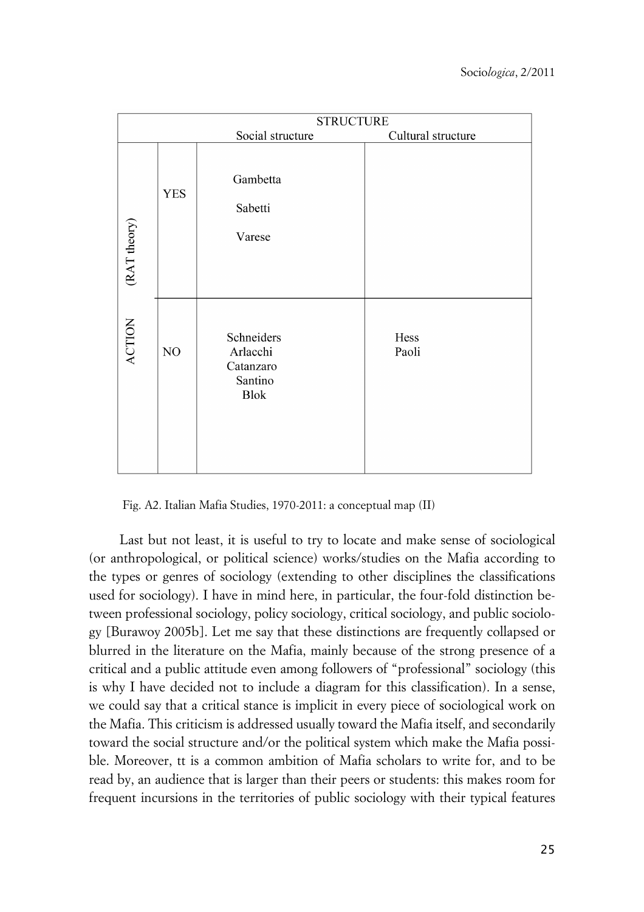|               | <b>STRUCTURE</b> |                                                               |                    |  |  |
|---------------|------------------|---------------------------------------------------------------|--------------------|--|--|
|               |                  | Social structure                                              | Cultural structure |  |  |
| (RAT theory)  | <b>YES</b>       | Gambetta<br>Sabetti<br>Varese                                 |                    |  |  |
| <b>ACTION</b> | NO               | Schneiders<br>Arlacchi<br>Catanzaro<br>Santino<br><b>Blok</b> | Hess<br>Paoli      |  |  |

Fig. A2. Italian Mafia Studies, 1970-2011: a conceptual map (II)

Last but not least, it is useful to try to locate and make sense of sociological (or anthropological, or political science) works/studies on the Mafia according to the types or genres of sociology (extending to other disciplines the classifications used for sociology). I have in mind here, in particular, the four-fold distinction between professional sociology, policy sociology, critical sociology, and public sociology [Burawoy 2005b]. Let me say that these distinctions are frequently collapsed or blurred in the literature on the Mafia, mainly because of the strong presence of a critical and a public attitude even among followers of "professional" sociology (this is why I have decided not to include a diagram for this classification). In a sense, we could say that a critical stance is implicit in every piece of sociological work on the Mafia. This criticism is addressed usually toward the Mafia itself, and secondarily toward the social structure and/or the political system which make the Mafia possible. Moreover, tt is a common ambition of Mafia scholars to write for, and to be read by, an audience that is larger than their peers or students: this makes room for frequent incursions in the territories of public sociology with their typical features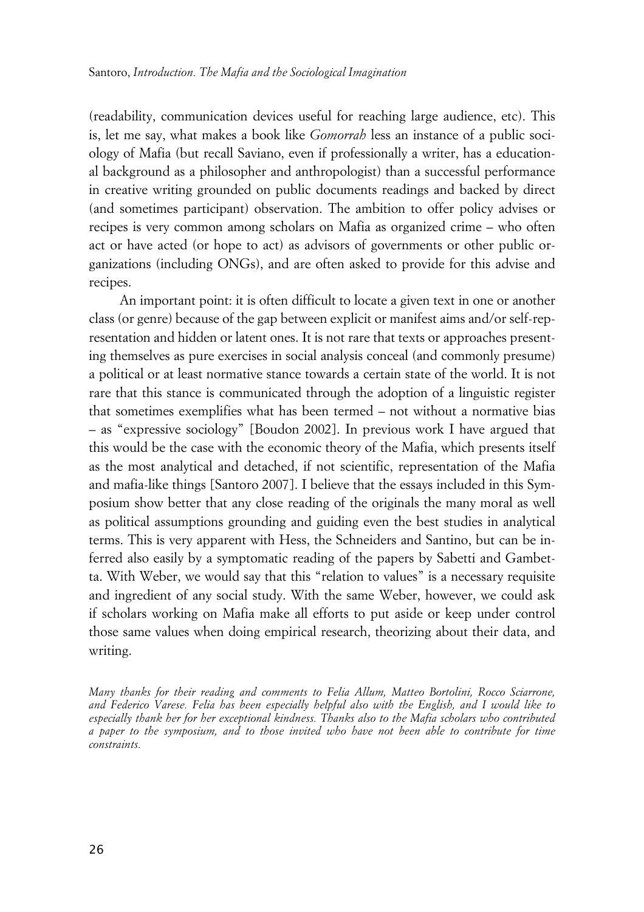(readability, communication devices useful for reaching large audience, etc). This is, let me say, what makes a book like *Gomorrah* less an instance of a public sociology of Mafia (but recall Saviano, even if professionally a writer, has a educational background as a philosopher and anthropologist) than a successful performance in creative writing grounded on public documents readings and backed by direct (and sometimes participant) observation. The ambition to offer policy advises or recipes is very common among scholars on Mafia as organized crime – who often act or have acted (or hope to act) as advisors of governments or other public organizations (including ONGs), and are often asked to provide for this advise and recipes.

An important point: it is often difficult to locate a given text in one or another class (or genre) because of the gap between explicit or manifest aims and/or self-representation and hidden or latent ones. It is not rare that texts or approaches presenting themselves as pure exercises in social analysis conceal (and commonly presume) a political or at least normative stance towards a certain state of the world. It is not rare that this stance is communicated through the adoption of a linguistic register that sometimes exemplifies what has been termed – not without a normative bias – as "expressive sociology" [Boudon 2002]. In previous work I have argued that this would be the case with the economic theory of the Mafia, which presents itself as the most analytical and detached, if not scientific, representation of the Mafia and mafia-like things [Santoro 2007]. I believe that the essays included in this Symposium show better that any close reading of the originals the many moral as well as political assumptions grounding and guiding even the best studies in analytical terms. This is very apparent with Hess, the Schneiders and Santino, but can be inferred also easily by a symptomatic reading of the papers by Sabetti and Gambetta. With Weber, we would say that this "relation to values" is a necessary requisite and ingredient of any social study. With the same Weber, however, we could ask if scholars working on Mafia make all efforts to put aside or keep under control those same values when doing empirical research, theorizing about their data, and writing.

*Many thanks for their reading and comments to Felia Allum, Matteo Bortolini, Rocco Sciarrone, and Federico Varese. Felia has been especially helpful also with the English, and I would like to especially thank her for her exceptional kindness. Thanks also to the Mafia scholars who contributed a paper to the symposium, and to those invited who have not been able to contribute for time constraints.*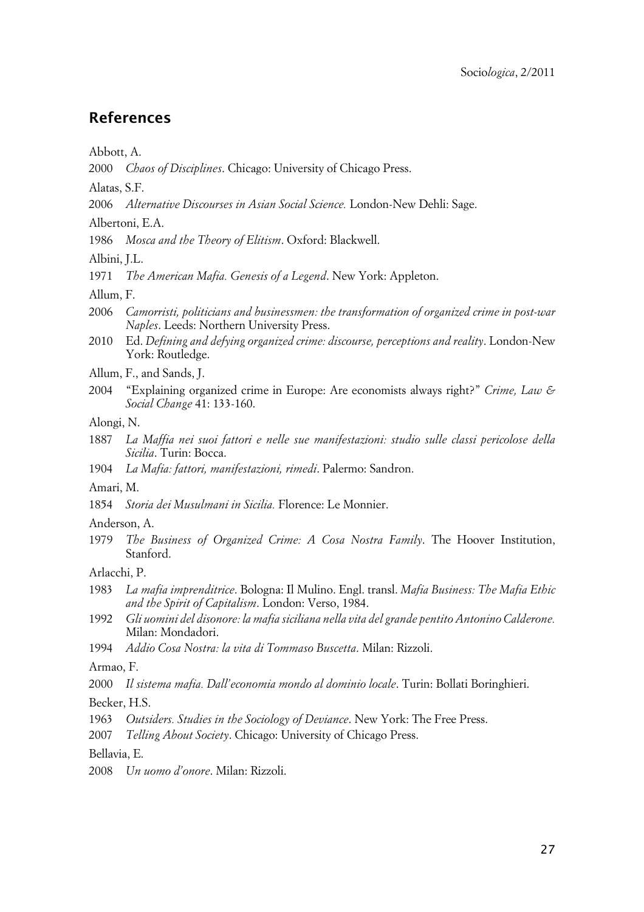### **References**

Abbott, A.

2000 *Chaos of Disciplines*. Chicago: University of Chicago Press.

Alatas, S.F.

2006 *Alternative Discourses in Asian Social Science.* London-New Dehli: Sage.

Albertoni, E.A.

1986 *Mosca and the Theory of Elitism*. Oxford: Blackwell.

Albini, J.L.

1971 *The American Mafia. Genesis of a Legend*. New York: Appleton.

Allum, F.

- 2006 *Camorristi, politicians and businessmen: the transformation of organized crime in post-war Naples*. Leeds: Northern University Press.
- 2010 Ed. *Defining and defying organized crime: discourse, perceptions and reality*. London-New York: Routledge.
- Allum, F., and Sands, J.
- 2004 "Explaining organized crime in Europe: Are economists always right?" *Crime, Law & Social Change* 41: 133-160.

Alongi, N.

- 1887 *La Maffia nei suoi fattori e nelle sue manifestazioni: studio sulle classi pericolose della Sicilia*. Turin: Bocca.
- 1904 *La Mafia: fattori, manifestazioni, rimedi*. Palermo: Sandron.

Amari, M.

1854 *Storia dei Musulmani in Sicilia.* Florence: Le Monnier.

#### Anderson, A.

1979 *The Business of Organized Crime: A Cosa Nostra Family*. The Hoover Institution, Stanford.

Arlacchi, P.

- 1983 *La mafia imprenditrice*. Bologna: Il Mulino. Engl. transl. *Mafia Business: The Mafia Ethic and the Spirit of Capitalism*. London: Verso, 1984.
- 1992 *Gli uomini del disonore: la mafia siciliana nella vita del grande pentito Antonino Calderone.* Milan: Mondadori.
- 1994 *Addio Cosa Nostra: la vita di Tommaso Buscetta*. Milan: Rizzoli.

Armao, F.

2000 *Il sistema mafia. Dall'economia mondo al dominio locale*. Turin: Bollati Boringhieri.

Becker, H.S.

- 1963 *Outsiders. Studies in the Sociology of Deviance*. New York: The Free Press.
- 2007 *Telling About Society*. Chicago: University of Chicago Press.

Bellavia, E.

2008 *Un uomo d'onore*. Milan: Rizzoli.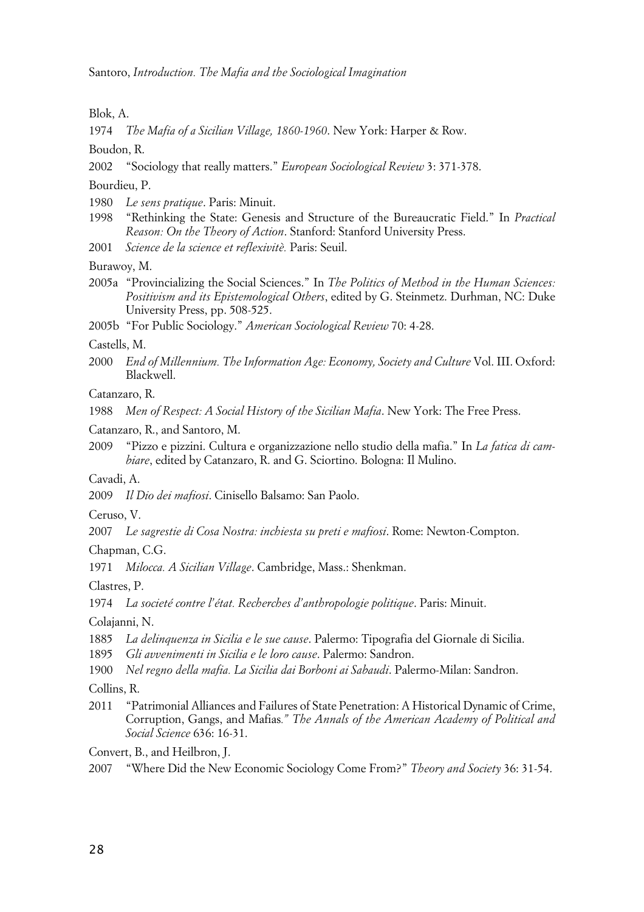Blok, A.

1974 *The Mafia of a Sicilian Village, 1860-1960*. New York: Harper & Row.

Boudon, R.

2002 "Sociology that really matters." *European Sociological Review* 3: 371-378.

Bourdieu, P.

- 1980 *Le sens pratique*. Paris: Minuit.
- 1998 "Rethinking the State: Genesis and Structure of the Bureaucratic Field." In *Practical Reason: On the Theory of Action*. Stanford: Stanford University Press.
- 2001 *Science de la science et reflexivitè.* Paris: Seuil.
- Burawoy, M.
- 2005a "Provincializing the Social Sciences." In *The Politics of Method in the Human Sciences: Positivism and its Epistemological Others*, edited by G. Steinmetz. Durhman, NC: Duke University Press, pp. 508-525.
- 2005b "For Public Sociology." *American Sociological Review* 70: 4-28.

Castells, M.

2000 *End of Millennium. The Information Age: Economy, Society and Culture* Vol. III. Oxford: Blackwell.

Catanzaro, R.

1988 *Men of Respect: A Social History of the Sicilian Mafia*. New York: The Free Press.

Catanzaro, R., and Santoro, M.

2009 "Pizzo e pizzini. Cultura e organizzazione nello studio della mafia." In *La fatica di cambiare*, edited by Catanzaro, R. and G. Sciortino. Bologna: Il Mulino.

Cavadi, A.

2009 *Il Dio dei mafiosi*. Cinisello Balsamo: San Paolo.

Ceruso, V.

2007 *Le sagrestie di Cosa Nostra: inchiesta su preti e mafiosi*. Rome: Newton-Compton.

Chapman, C.G.

1971 *Milocca. A Sicilian Village*. Cambridge, Mass.: Shenkman.

Clastres, P.

1974 *La societé contre l'état. Recherches d'anthropologie politique*. Paris: Minuit.

Colajanni, N.

1885 *La delinquenza in Sicilia e le sue cause*. Palermo: Tipografia del Giornale di Sicilia.

1895 *Gli avvenimenti in Sicilia e le loro cause*. Palermo: Sandron.

1900 *Nel regno della mafia. La Sicilia dai Borboni ai Sabaudi*. Palermo-Milan: Sandron.

Collins, R.

2011 "Patrimonial Alliances and Failures of State Penetration: A Historical Dynamic of Crime, Corruption, Gangs, and Mafias*." The Annals of the American Academy of Political and Social Science* 636: 16-31.

Convert, B., and Heilbron, J.

<sup>2007</sup> "Where Did the New Economic Sociology Come From?" *Theory and Society* 36: 31-54.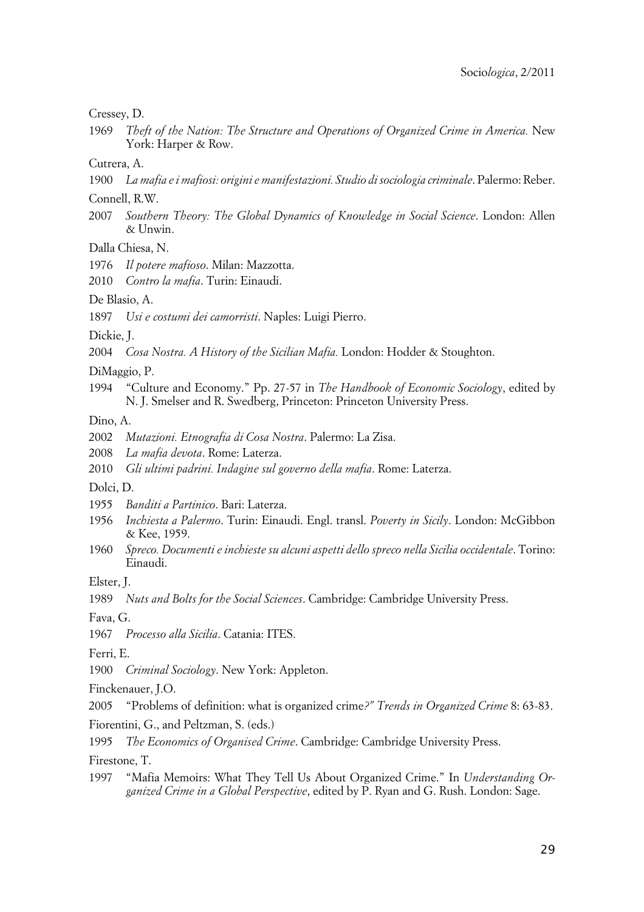Cressey, D.

1969 *Theft of the Nation: The Structure and Operations of Organized Crime in America.* New York: Harper & Row.

Cutrera, A.

- 1900 *La mafia e i mafiosi: origini e manifestazioni. Studio di sociologia criminale*. Palermo: Reber.
- Connell, R.W.
- 2007 *Southern Theory: The Global Dynamics of Knowledge in Social Science*. London: Allen & Unwin.

Dalla Chiesa, N.

1976 *Il potere mafioso*. Milan: Mazzotta.

2010 *Contro la mafia*. Turin: Einaudi.

De Blasio, A.

1897 *Usi e costumi dei camorristi*. Naples: Luigi Pierro.

Dickie, J.

2004 *Cosa Nostra. A History of the Sicilian Mafia.* London: Hodder & Stoughton.

DiMaggio, P.

1994 "Culture and Economy." Pp. 27-57 in *The Handbook of Economic Sociology*, edited by N. J. Smelser and R. Swedberg, Princeton: Princeton University Press.

Dino, A.

- 2002 *Mutazioni. Etnografia di Cosa Nostra*. Palermo: La Zisa.
- 2008 *La mafia devota*. Rome: Laterza.
- 2010 *Gli ultimi padrini. Indagine sul governo della mafia*. Rome: Laterza.

Dolci, D.

- 1955 *Banditi a Partinico*. Bari: Laterza.
- 1956 *Inchiesta a Palermo*. Turin: Einaudi. Engl. transl. *Poverty in Sicily*. London: McGibbon & Kee, 1959.
- 1960 *Spreco. Documenti e inchieste su alcuni aspetti dello spreco nella Sicilia occidentale*. Torino: Einaudi.

Elster, J.

1989 *Nuts and Bolts for the Social Sciences*. Cambridge: Cambridge University Press.

Fava, G.

1967 *Processo alla Sicilia*. Catania: ITES.

Ferri, E.

1900 *Criminal Sociology*. New York: Appleton.

Finckenauer, J.O.

2005 "Problems of definition: what is organized crime*?" Trends in Organized Crime* 8: 63-83.

Fiorentini, G., and Peltzman, S. (eds.)

1995 *The Economics of Organised Crime*. Cambridge: Cambridge University Press.

Firestone, T.

1997 "Mafia Memoirs: What They Tell Us About Organized Crime." In *Understanding Organized Crime in a Global Perspective*, edited by P. Ryan and G. Rush. London: Sage.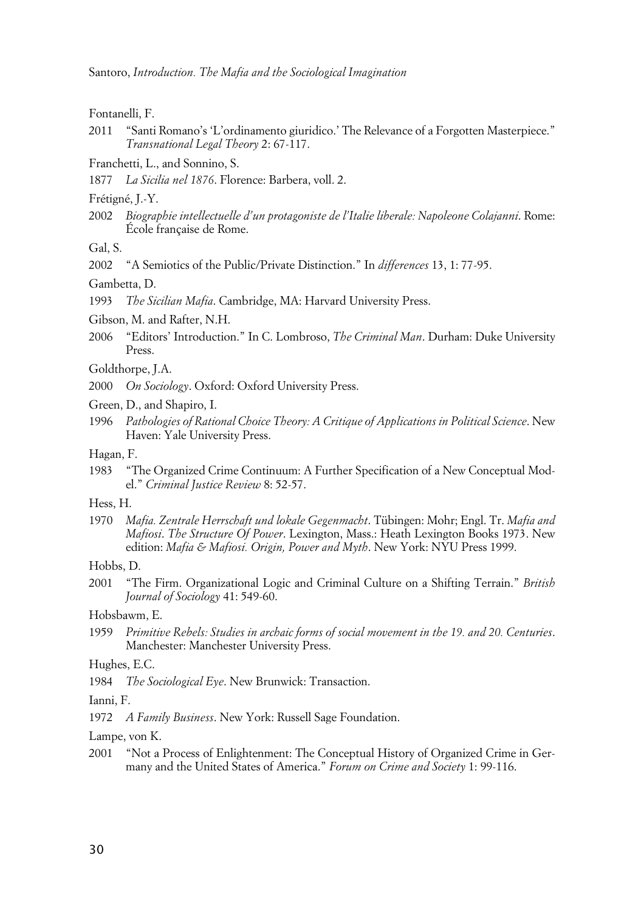Fontanelli, F.

2011 "Santi Romano's 'L'ordinamento giuridico.' The Relevance of a Forgotten Masterpiece." *Transnational Legal Theory* 2: 67-117.

Franchetti, L., and Sonnino, S.

1877 *La Sicilia nel 1876*. Florence: Barbera, voll. 2.

Frétigné, J.-Y.

2002 *Biographie intellectuelle d'un protagoniste de l'Italie liberale: Napoleone Colajanni*. Rome: École française de Rome.

Gal, S.

2002 "A Semiotics of the Public/Private Distinction." In *differences* 13, 1: 77-95.

Gambetta, D.

1993 *The Sicilian Mafia*. Cambridge, MA: Harvard University Press.

Gibson, M. and Rafter, N.H.

2006 "Editors' Introduction." In C. Lombroso, *The Criminal Man*. Durham: Duke University Press.

Goldthorpe, J.A.

2000 *On Sociology*. Oxford: Oxford University Press.

Green, D., and Shapiro, I.

1996 *Pathologies of Rational Choice Theory: A Critique of Applications in Political Science*. New Haven: Yale University Press.

Hagan, F.

1983 "The Organized Crime Continuum: A Further Specification of a New Conceptual Model." *Criminal Justice Review* 8: 52-57.

#### Hess, H.

1970 *Mafia. Zentrale Herrschaft und lokale Gegenmacht*. Tübingen: Mohr; Engl. Tr. *Mafia and Mafiosi*. *The Structure Of Power*. Lexington, Mass.: Heath Lexington Books 1973. New edition: *Mafia & Mafiosi. Origin, Power and Myth*. New York: NYU Press 1999.

Hobbs, D.

2001 "The Firm. Organizational Logic and Criminal Culture on a Shifting Terrain." *British Journal of Sociology* 41: 549-60.

Hobsbawm, E.

1959 *Primitive Rebels: Studies in archaic forms of social movement in the 19. and 20. Centuries*. Manchester: Manchester University Press.

Hughes, E.C.

1984 *The Sociological Eye*. New Brunwick: Transaction.

Ianni, F.

1972 *A Family Business*. New York: Russell Sage Foundation.

Lampe, von K.

2001 "Not a Process of Enlightenment: The Conceptual History of Organized Crime in Germany and the United States of America." *Forum on Crime and Society* 1: 99-116.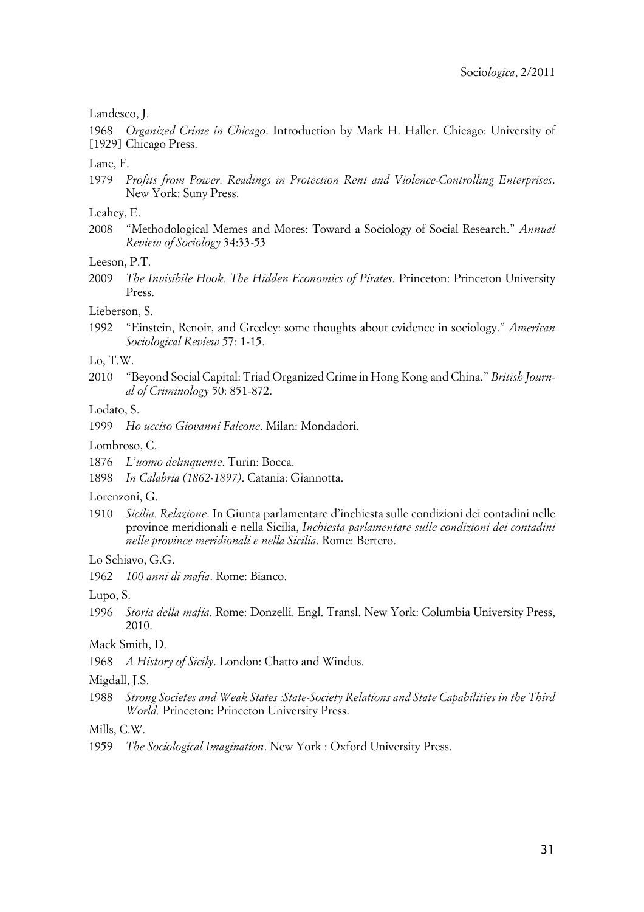#### Landesco, J.

1968 [1929] Chicago Press. *Organized Crime in Chicago*. Introduction by Mark H. Haller. Chicago: University of

#### Lane, F.

1979 *Profits from Power. Readings in Protection Rent and Violence-Controlling Enterprises*. New York: Suny Press.

#### Leahey, E.

2008 "Methodological Memes and Mores: Toward a Sociology of Social Research." *Annual Review of Sociology* 34:33-53

#### Leeson, P.T.

2009 *The Invisibile Hook. The Hidden Economics of Pirates*. Princeton: Princeton University Press.

#### Lieberson, S.

1992 "Einstein, Renoir, and Greeley: some thoughts about evidence in sociology." *American Sociological Review* 57: 1-15.

#### Lo, T.W.

2010 "Beyond Social Capital: Triad Organized Crime in Hong Kong and China." *British Journal of Criminology* 50: 851-872.

#### Lodato, S.

1999 *Ho ucciso Giovanni Falcone*. Milan: Mondadori.

#### Lombroso, C.

- 1876 *L'uomo delinquente*. Turin: Bocca.
- 1898 *In Calabria (1862-1897)*. Catania: Giannotta.

#### Lorenzoni, G.

1910 *Sicilia. Relazione*. In Giunta parlamentare d'inchiesta sulle condizioni dei contadini nelle province meridionali e nella Sicilia, *Inchiesta parlamentare sulle condizioni dei contadini nelle province meridionali e nella Sicilia*. Rome: Bertero.

#### Lo Schiavo, G.G.

1962 *100 anni di mafia*. Rome: Bianco.

#### Lupo, S.

1996 *Storia della mafia*. Rome: Donzelli. Engl. Transl. New York: Columbia University Press, 2010.

#### Mack Smith, D.

1968 *A History of Sicily*. London: Chatto and Windus.

#### Migdall, J.S.

1988 *Strong Societes and Weak States :State-Society Relations and State Capabilities in the Third World.* Princeton: Princeton University Press.

#### Mills, C.W.

<sup>1959</sup> *The Sociological Imagination*. New York : Oxford University Press.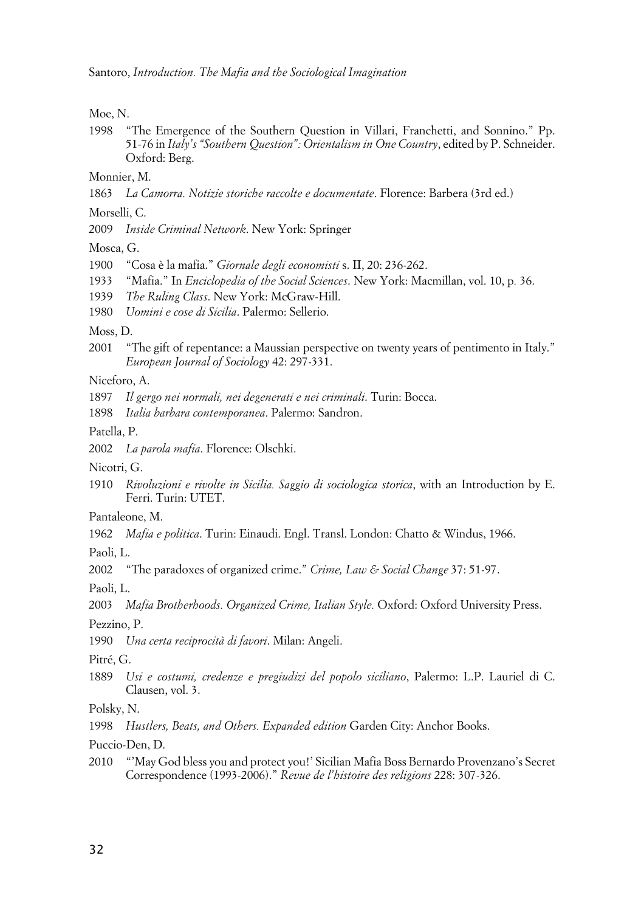Moe, N.

1998 "The Emergence of the Southern Question in Villari, Franchetti, and Sonnino." Pp. 51-76 in *Italy's "Southern Question": Orientalism in One Country*, edited by P. Schneider. Oxford: Berg.

Monnier, M.

1863 *La Camorra. Notizie storiche raccolte e documentate*. Florence: Barbera (3rd ed.)

Morselli, C.

2009 *Inside Criminal Network*. New York: Springer

Mosca, G.

- 1900 "Cosa è la mafia." *Giornale degli economisti* s. II, 20: 236-262.
- 1933 "Mafia." In *Enciclopedia of the Social Sciences*. New York: Macmillan, vol. 10, p*.* 36.
- 1939 *The Ruling Class*. New York: McGraw-Hill.
- 1980 *Uomini e cose di Sicilia*. Palermo: Sellerio.

Moss, D.

2001 "The gift of repentance: a Maussian perspective on twenty years of pentimento in Italy." *European Journal of Sociology* 42: 297-331.

Niceforo, A.

- 1897 *Il gergo nei normali, nei degenerati e nei criminali*. Turin: Bocca.
- 1898 *Italia barbara contemporanea*. Palermo: Sandron.

Patella, P.

- 2002 *La parola mafia*. Florence: Olschki.
- Nicotri, G.
- 1910 *Rivoluzioni e rivolte in Sicilia. Saggio di sociologica storica*, with an Introduction by E. Ferri. Turin: UTET.
- Pantaleone, M.
- 1962 *Mafia e politica*. Turin: Einaudi. Engl. Transl. London: Chatto & Windus, 1966.

Paoli, L.

2002 "The paradoxes of organized crime." *Crime, Law & Social Change* 37: 51-97.

Paoli, L.

2003 *Mafia Brotherhoods. Organized Crime, Italian Style.* Oxford: Oxford University Press.

Pezzino, P.

1990 *Una certa reciprocità di favori*. Milan: Angeli.

Pitré, G.

1889 *Usi e costumi, credenze e pregiudizi del popolo siciliano*, Palermo: L.P. Lauriel di C. Clausen, vol. 3.

Polsky, N.

1998 *Hustlers, Beats, and Others. Expanded edition* Garden City: Anchor Books.

Puccio-Den, D.

2010 "'May God bless you and protect you!' Sicilian Mafia Boss Bernardo Provenzano's Secret Correspondence (1993-2006)." *Revue de l'histoire des religions* 228: 307-326.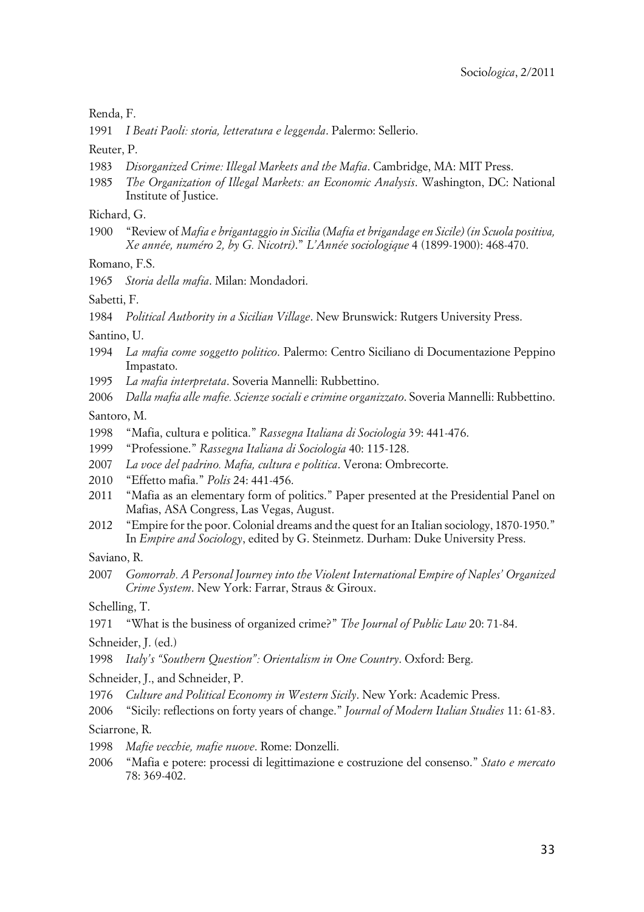Renda, F.

1991 *I Beati Paoli: storia, letteratura e leggenda*. Palermo: Sellerio.

Reuter, P.

- 1983 *Disorganized Crime: Illegal Markets and the Mafia*. Cambridge, MA: MIT Press.
- 1985 *The Organization of Illegal Markets: an Economic Analysis*. Washington, DC: National Institute of Justice.

Richard, G.

1900 "Review of *Mafia e brigantaggio in Sicilia (Mafia et brigandage en Sicile) (in Scuola positiva, Xe année, numéro 2, by G. Nicotri)*." *L'Année sociologique* 4 (1899-1900): 468-470.

Romano, F.S.

1965 *Storia della mafia*. Milan: Mondadori.

Sabetti, F.

1984 *Political Authority in a Sicilian Village*. New Brunswick: Rutgers University Press.

Santino, U.

- 1994 *La mafia come soggetto politico*. Palermo: Centro Siciliano di Documentazione Peppino Impastato.
- 1995 *La mafia interpretata*. Soveria Mannelli: Rubbettino.
- 2006 *Dalla mafia alle mafie. Scienze sociali e crimine organizzato*. Soveria Mannelli: Rubbettino.

Santoro, M.

- 1998 "Mafia, cultura e politica." *Rassegna Italiana di Sociologia* 39: 441-476.
- 1999 "Professione." *Rassegna Italiana di Sociologia* 40: 115-128.
- 2007 *La voce del padrino. Mafia, cultura e politica*. Verona: Ombrecorte.
- 2010 "Effetto mafia." *Polis* 24: 441-456.
- 2011 "Mafia as an elementary form of politics." Paper presented at the Presidential Panel on Mafias, ASA Congress, Las Vegas, August.
- 2012 "Empire for the poor. Colonial dreams and the quest for an Italian sociology, 1870-1950." In *Empire and Sociology*, edited by G. Steinmetz. Durham: Duke University Press.

Saviano, R.

2007 *Gomorrah. A Personal Journey into the Violent International Empire of Naples' Organized Crime System*. New York: Farrar, Straus & Giroux.

Schelling, T.

1971 "What is the business of organized crime?" *The Journal of Public Law* 20: 71-84.

Schneider, J. (ed.)

1998 *Italy's "Southern Question": Orientalism in One Country*. Oxford: Berg.

Schneider, J., and Schneider, P.

- 1976 *Culture and Political Economy in Western Sicily*. New York: Academic Press.
- 2006 "Sicily: reflections on forty years of change." *Journal of Modern Italian Studies* 11: 61-83.

Sciarrone, R.

- 1998 *Mafie vecchie, mafie nuove*. Rome: Donzelli.
- 2006 "Mafia e potere: processi di legittimazione e costruzione del consenso." *Stato e mercato* 78: 369-402.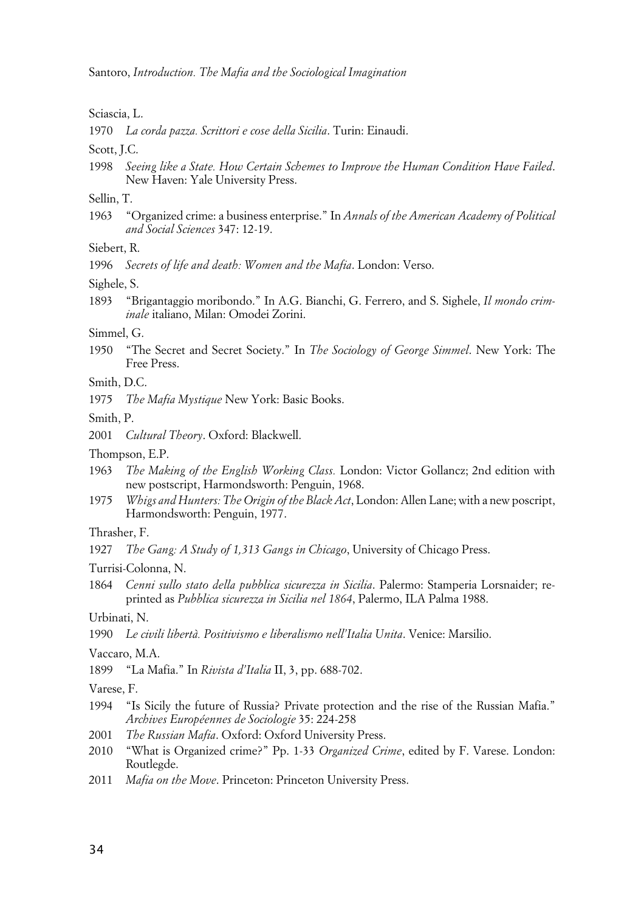Sciascia, L.

1970 *La corda pazza. Scrittori e cose della Sicilia*. Turin: Einaudi.

Scott, J.C.

1998 *Seeing like a State. How Certain Schemes to Improve the Human Condition Have Failed*. New Haven: Yale University Press.

Sellin, T.

1963 "Organized crime: a business enterprise." In *Annals of the American Academy of Political and Social Sciences* 347: 12-19.

Siebert, R.

1996 *Secrets of life and death: Women and the Mafia*. London: Verso.

Sighele, S.

1893 "Brigantaggio moribondo." In A.G. Bianchi, G. Ferrero, and S. Sighele, *Il mondo criminale* italiano, Milan: Omodei Zorini.

Simmel, G.

1950 "The Secret and Secret Society." In *The Sociology of George Simmel*. New York: The Free Press.

Smith, D.C.

1975 *The Mafia Mystique* New York: Basic Books.

Smith, P.

2001 *Cultural Theory*. Oxford: Blackwell.

Thompson, E.P.

- 1963 *The Making of the English Working Class.* London: Victor Gollancz; 2nd edition with new postscript, Harmondsworth: Penguin, 1968.
- 1975 *Whigs and Hunters: The Origin of the Black Act*, London: Allen Lane; with a new poscript, Harmondsworth: Penguin, 1977.

Thrasher, F.

1927 *The Gang: A Study of 1,313 Gangs in Chicago*, University of Chicago Press.

Turrisi-Colonna, N.

1864 *Cenni sullo stato della pubblica sicurezza in Sicilia*. Palermo: Stamperia Lorsnaider; reprinted as *Pubblica sicurezza in Sicilia nel 1864*, Palermo, ILA Palma 1988.

Urbinati, N.

1990 *Le civili libertà. Positivismo e liberalismo nell'Italia Unita*. Venice: Marsilio.

Vaccaro, M.A.

1899 "La Mafia." In *Rivista d'Italia* II, 3, pp. 688-702.

Varese, F.

- 1994 "Is Sicily the future of Russia? Private protection and the rise of the Russian Mafia." *Archives Européennes de Sociologie* 35: 224-258
- 2001 *The Russian Mafia*. Oxford: Oxford University Press.
- 2010 "What is Organized crime?" Pp. 1-33 *Organized Crime*, edited by F. Varese. London: Routlegde.
- 2011 *Mafia on the Move*. Princeton: Princeton University Press.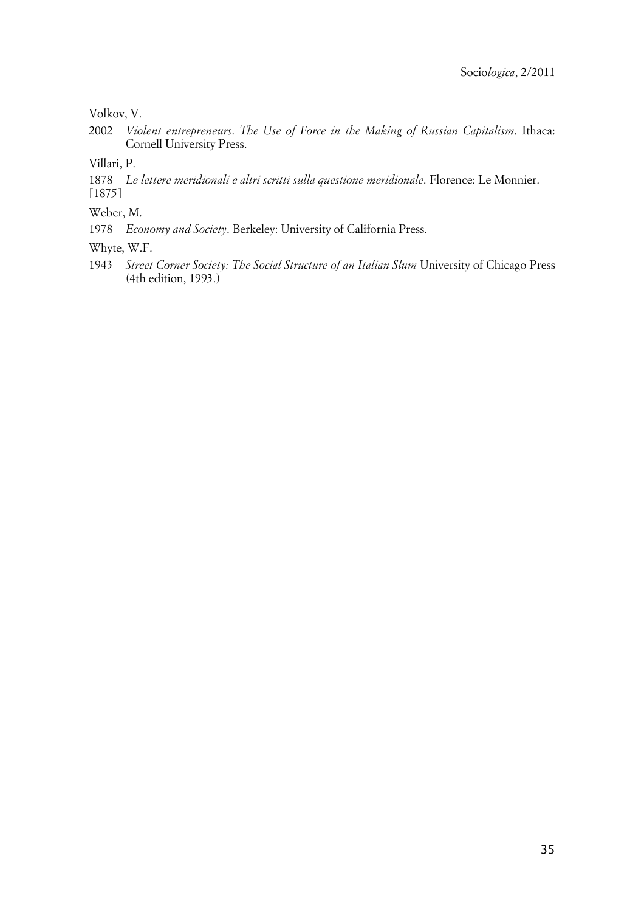Volkov, V.

2002 *Violent entrepreneurs*. *The Use of Force in the Making of Russian Capitalism*. Ithaca: Cornell University Press.

Villari, P.

1878 *Le lettere meridionali e altri scritti sulla questione meridionale*. Florence: Le Monnier. [1875]

Weber, M.

1978 *Economy and Society*. Berkeley: University of California Press.

Whyte, W.F.

1943 *Street Corner Society: The Social Structure of an Italian Slum* University of Chicago Press (4th edition, 1993.)